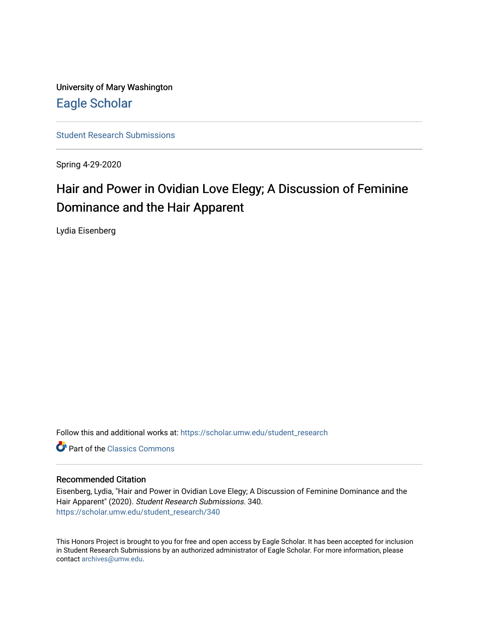University of Mary Washington [Eagle Scholar](https://scholar.umw.edu/) 

[Student Research Submissions](https://scholar.umw.edu/student_research) 

Spring 4-29-2020

## Hair and Power in Ovidian Love Elegy; A Discussion of Feminine Dominance and the Hair Apparent

Lydia Eisenberg

Follow this and additional works at: [https://scholar.umw.edu/student\\_research](https://scholar.umw.edu/student_research?utm_source=scholar.umw.edu%2Fstudent_research%2F340&utm_medium=PDF&utm_campaign=PDFCoverPages)

**C** Part of the [Classics Commons](http://network.bepress.com/hgg/discipline/446?utm_source=scholar.umw.edu%2Fstudent_research%2F340&utm_medium=PDF&utm_campaign=PDFCoverPages)

#### Recommended Citation

Eisenberg, Lydia, "Hair and Power in Ovidian Love Elegy; A Discussion of Feminine Dominance and the Hair Apparent" (2020). Student Research Submissions. 340. [https://scholar.umw.edu/student\\_research/340](https://scholar.umw.edu/student_research/340?utm_source=scholar.umw.edu%2Fstudent_research%2F340&utm_medium=PDF&utm_campaign=PDFCoverPages)

This Honors Project is brought to you for free and open access by Eagle Scholar. It has been accepted for inclusion in Student Research Submissions by an authorized administrator of Eagle Scholar. For more information, please contact [archives@umw.edu](mailto:archives@umw.edu).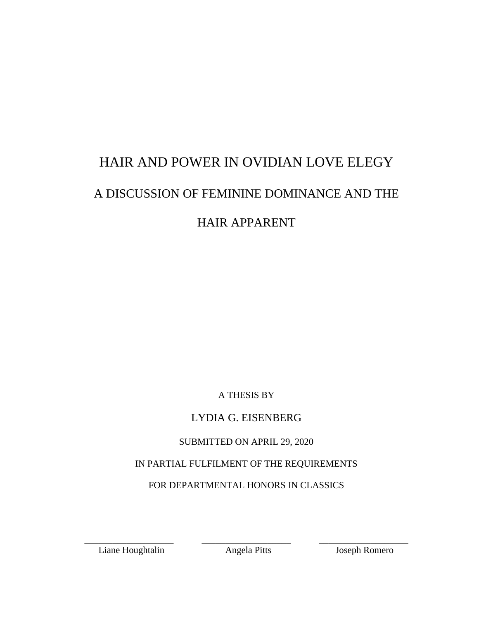# HAIR AND POWER IN OVIDIAN LOVE ELEGY A DISCUSSION OF FEMININE DOMINANCE AND THE HAIR APPARENT

A THESIS BY

## LYDIA G. EISENBERG

## SUBMITTED ON APRIL 29, 2020

## IN PARTIAL FULFILMENT OF THE REQUIREMENTS

## FOR DEPARTMENTAL HONORS IN CLASSICS

Liane Houghtalin Angela Pitts Joseph Romero

\_\_\_\_\_\_\_\_\_\_\_\_\_\_\_\_\_\_\_ \_\_\_\_\_\_\_\_\_\_\_\_\_\_\_\_\_\_\_ \_\_\_\_\_\_\_\_\_\_\_\_\_\_\_\_\_\_\_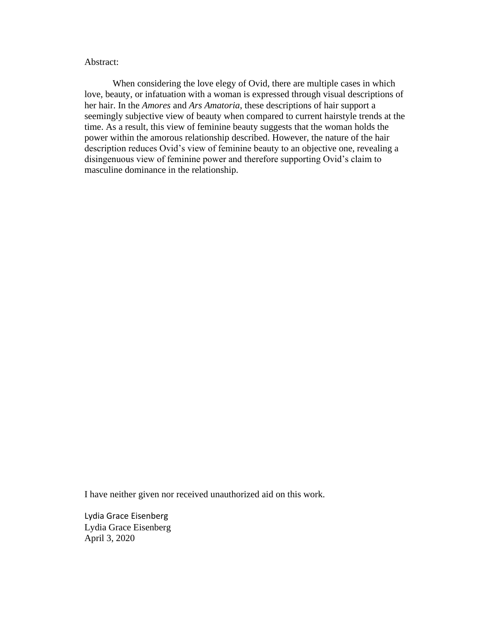#### Abstract:

When considering the love elegy of Ovid, there are multiple cases in which love, beauty, or infatuation with a woman is expressed through visual descriptions of her hair. In the *Amores* and *Ars Amatoria*, these descriptions of hair support a seemingly subjective view of beauty when compared to current hairstyle trends at the time. As a result, this view of feminine beauty suggests that the woman holds the power within the amorous relationship described. However, the nature of the hair description reduces Ovid's view of feminine beauty to an objective one, revealing a disingenuous view of feminine power and therefore supporting Ovid's claim to masculine dominance in the relationship.

I have neither given nor received unauthorized aid on this work.

Lydia Grace Eisenberg Lydia Grace Eisenberg April 3, 2020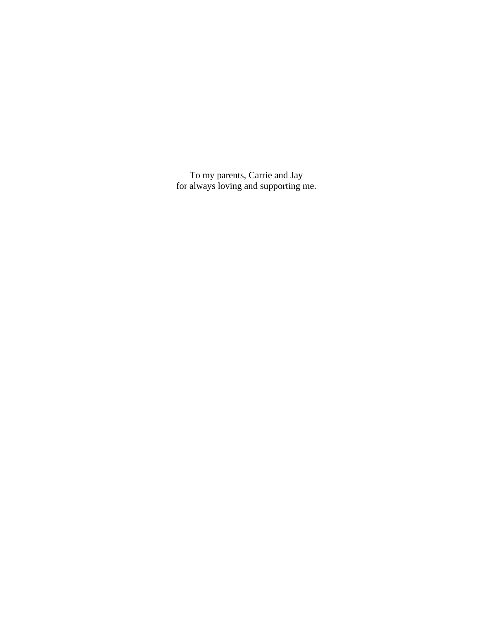To my parents, Carrie and Jay for always loving and supporting me.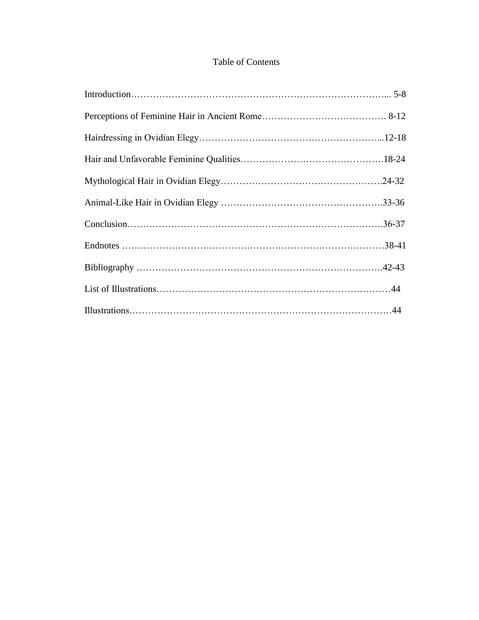### Table of Contents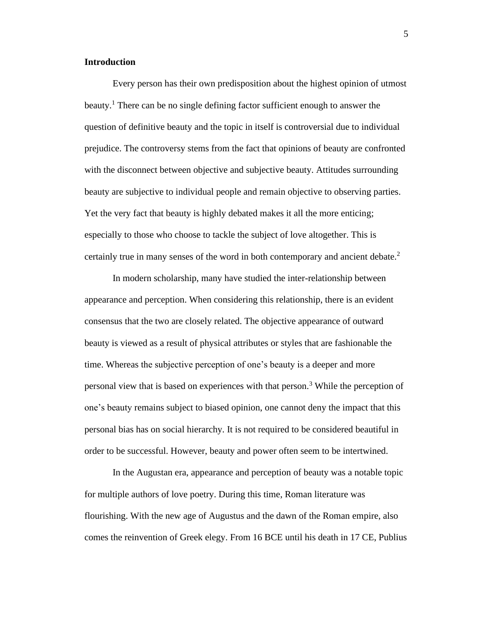#### **Introduction**

Every person has their own predisposition about the highest opinion of utmost beauty.<sup>1</sup> There can be no single defining factor sufficient enough to answer the question of definitive beauty and the topic in itself is controversial due to individual prejudice. The controversy stems from the fact that opinions of beauty are confronted with the disconnect between objective and subjective beauty. Attitudes surrounding beauty are subjective to individual people and remain objective to observing parties. Yet the very fact that beauty is highly debated makes it all the more enticing; especially to those who choose to tackle the subject of love altogether. This is certainly true in many senses of the word in both contemporary and ancient debate. 2

In modern scholarship, many have studied the inter-relationship between appearance and perception. When considering this relationship, there is an evident consensus that the two are closely related. The objective appearance of outward beauty is viewed as a result of physical attributes or styles that are fashionable the time. Whereas the subjective perception of one's beauty is a deeper and more personal view that is based on experiences with that person.<sup>3</sup> While the perception of one's beauty remains subject to biased opinion, one cannot deny the impact that this personal bias has on social hierarchy. It is not required to be considered beautiful in order to be successful. However, beauty and power often seem to be intertwined.

In the Augustan era, appearance and perception of beauty was a notable topic for multiple authors of love poetry. During this time, Roman literature was flourishing. With the new age of Augustus and the dawn of the Roman empire, also comes the reinvention of Greek elegy. From 16 BCE until his death in 17 CE, Publius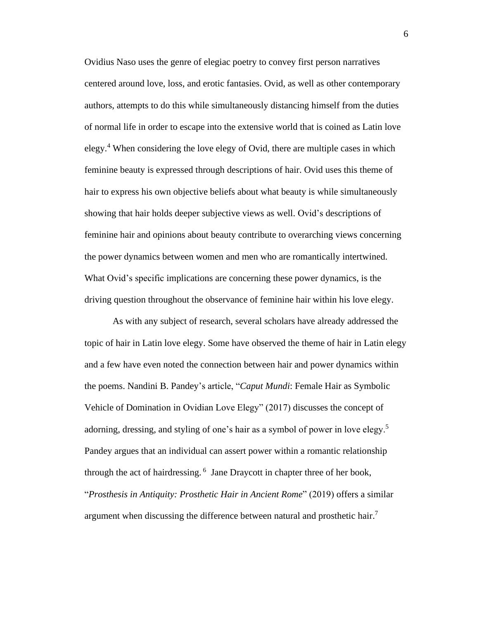Ovidius Naso uses the genre of elegiac poetry to convey first person narratives centered around love, loss, and erotic fantasies. Ovid, as well as other contemporary authors, attempts to do this while simultaneously distancing himself from the duties of normal life in order to escape into the extensive world that is coined as Latin love elegy.<sup>4</sup> When considering the love elegy of Ovid, there are multiple cases in which feminine beauty is expressed through descriptions of hair. Ovid uses this theme of hair to express his own objective beliefs about what beauty is while simultaneously showing that hair holds deeper subjective views as well. Ovid's descriptions of feminine hair and opinions about beauty contribute to overarching views concerning the power dynamics between women and men who are romantically intertwined. What Ovid's specific implications are concerning these power dynamics, is the driving question throughout the observance of feminine hair within his love elegy.

As with any subject of research, several scholars have already addressed the topic of hair in Latin love elegy. Some have observed the theme of hair in Latin elegy and a few have even noted the connection between hair and power dynamics within the poems. Nandini B. Pandey's article, "*Caput Mundi*: Female Hair as Symbolic Vehicle of Domination in Ovidian Love Elegy" (2017) discusses the concept of adorning, dressing, and styling of one's hair as a symbol of power in love elegy.<sup>5</sup> Pandey argues that an individual can assert power within a romantic relationship through the act of hairdressing. <sup>6</sup> Jane Draycott in chapter three of her book, "*Prosthesis in Antiquity: Prosthetic Hair in Ancient Rome*" (2019) offers a similar argument when discussing the difference between natural and prosthetic hair.<sup>7</sup>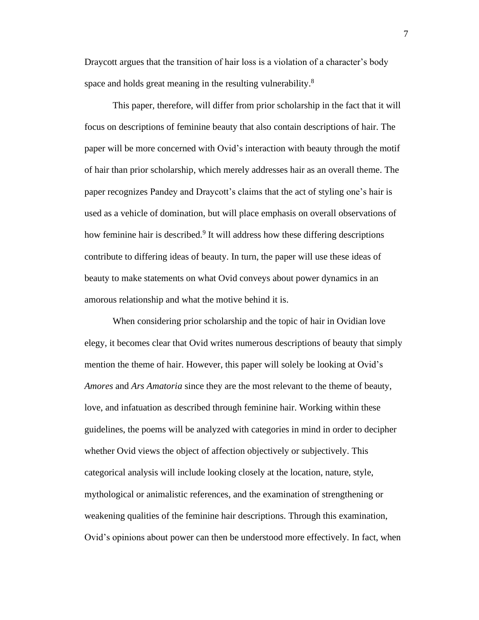Draycott argues that the transition of hair loss is a violation of a character's body space and holds great meaning in the resulting vulnerability.<sup>8</sup>

This paper, therefore, will differ from prior scholarship in the fact that it will focus on descriptions of feminine beauty that also contain descriptions of hair. The paper will be more concerned with Ovid's interaction with beauty through the motif of hair than prior scholarship, which merely addresses hair as an overall theme. The paper recognizes Pandey and Draycott's claims that the act of styling one's hair is used as a vehicle of domination, but will place emphasis on overall observations of how feminine hair is described.<sup>9</sup> It will address how these differing descriptions contribute to differing ideas of beauty. In turn, the paper will use these ideas of beauty to make statements on what Ovid conveys about power dynamics in an amorous relationship and what the motive behind it is.

When considering prior scholarship and the topic of hair in Ovidian love elegy, it becomes clear that Ovid writes numerous descriptions of beauty that simply mention the theme of hair. However, this paper will solely be looking at Ovid's *Amores* and *Ars Amatoria* since they are the most relevant to the theme of beauty, love, and infatuation as described through feminine hair. Working within these guidelines, the poems will be analyzed with categories in mind in order to decipher whether Ovid views the object of affection objectively or subjectively. This categorical analysis will include looking closely at the location, nature, style, mythological or animalistic references, and the examination of strengthening or weakening qualities of the feminine hair descriptions. Through this examination, Ovid's opinions about power can then be understood more effectively. In fact, when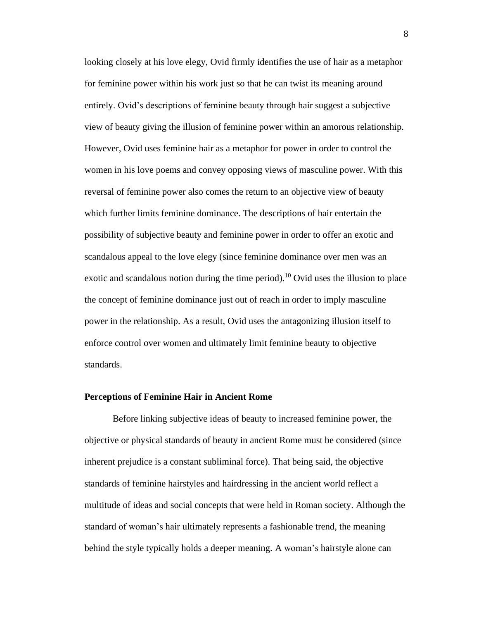looking closely at his love elegy, Ovid firmly identifies the use of hair as a metaphor for feminine power within his work just so that he can twist its meaning around entirely. Ovid's descriptions of feminine beauty through hair suggest a subjective view of beauty giving the illusion of feminine power within an amorous relationship. However, Ovid uses feminine hair as a metaphor for power in order to control the women in his love poems and convey opposing views of masculine power. With this reversal of feminine power also comes the return to an objective view of beauty which further limits feminine dominance. The descriptions of hair entertain the possibility of subjective beauty and feminine power in order to offer an exotic and scandalous appeal to the love elegy (since feminine dominance over men was an exotic and scandalous notion during the time period).<sup>10</sup> Ovid uses the illusion to place the concept of feminine dominance just out of reach in order to imply masculine power in the relationship. As a result, Ovid uses the antagonizing illusion itself to enforce control over women and ultimately limit feminine beauty to objective standards.

#### **Perceptions of Feminine Hair in Ancient Rome**

Before linking subjective ideas of beauty to increased feminine power, the objective or physical standards of beauty in ancient Rome must be considered (since inherent prejudice is a constant subliminal force). That being said, the objective standards of feminine hairstyles and hairdressing in the ancient world reflect a multitude of ideas and social concepts that were held in Roman society. Although the standard of woman's hair ultimately represents a fashionable trend, the meaning behind the style typically holds a deeper meaning. A woman's hairstyle alone can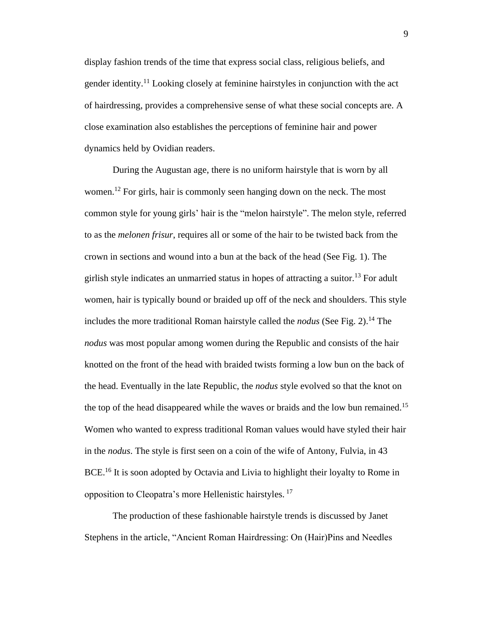display fashion trends of the time that express social class, religious beliefs, and gender identity.<sup>11</sup> Looking closely at feminine hairstyles in conjunction with the act of hairdressing, provides a comprehensive sense of what these social concepts are. A close examination also establishes the perceptions of feminine hair and power dynamics held by Ovidian readers.

During the Augustan age, there is no uniform hairstyle that is worn by all women.<sup>12</sup> For girls, hair is commonly seen hanging down on the neck. The most common style for young girls' hair is the "melon hairstyle". The melon style, referred to as the *melonen frisur*, requires all or some of the hair to be twisted back from the crown in sections and wound into a bun at the back of the head (See Fig. 1). The girlish style indicates an unmarried status in hopes of attracting a suitor.<sup>13</sup> For adult women, hair is typically bound or braided up off of the neck and shoulders. This style includes the more traditional Roman hairstyle called the *nodus* (See Fig. 2). <sup>14</sup> The *nodus* was most popular among women during the Republic and consists of the hair knotted on the front of the head with braided twists forming a low bun on the back of the head. Eventually in the late Republic, the *nodus* style evolved so that the knot on the top of the head disappeared while the waves or braids and the low bun remained.<sup>15</sup> Women who wanted to express traditional Roman values would have styled their hair in the *nodus*. The style is first seen on a coin of the wife of Antony, Fulvia, in 43 BCE.<sup>16</sup> It is soon adopted by Octavia and Livia to highlight their loyalty to Rome in opposition to Cleopatra's more Hellenistic hairstyles.<sup>17</sup>

The production of these fashionable hairstyle trends is discussed by Janet Stephens in the article, "Ancient Roman Hairdressing: On (Hair)Pins and Needles 9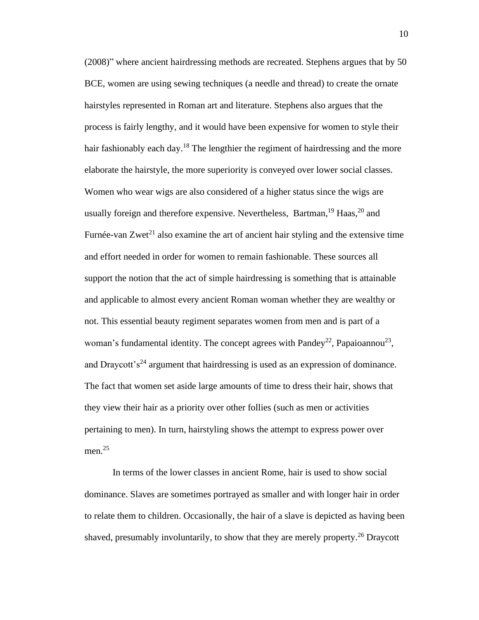(2008)" where ancient hairdressing methods are recreated. Stephens argues that by 50 BCE, women are using sewing techniques (a needle and thread) to create the ornate hairstyles represented in Roman art and literature. Stephens also argues that the process is fairly lengthy, and it would have been expensive for women to style their hair fashionably each day.<sup>18</sup> The lengthier the regiment of hairdressing and the more elaborate the hairstyle, the more superiority is conveyed over lower social classes. Women who wear wigs are also considered of a higher status since the wigs are usually foreign and therefore expensive. Nevertheless, Bartman,<sup>19</sup> Haas,<sup>20</sup> and Furnée-van Zwet<sup>21</sup> also examine the art of ancient hair styling and the extensive time and effort needed in order for women to remain fashionable. These sources all support the notion that the act of simple hairdressing is something that is attainable and applicable to almost every ancient Roman woman whether they are wealthy or not. This essential beauty regiment separates women from men and is part of a woman's fundamental identity. The concept agrees with Pandey<sup>22</sup>, Papaioannou<sup>23</sup>, and Draycott's<sup>24</sup> argument that hairdressing is used as an expression of dominance. The fact that women set aside large amounts of time to dress their hair, shows that they view their hair as a priority over other follies (such as men or activities pertaining to men). In turn, hairstyling shows the attempt to express power over men. $^{25}$ 

In terms of the lower classes in ancient Rome, hair is used to show social dominance. Slaves are sometimes portrayed as smaller and with longer hair in order to relate them to children. Occasionally, the hair of a slave is depicted as having been shaved, presumably involuntarily, to show that they are merely property.<sup>26</sup> Draycott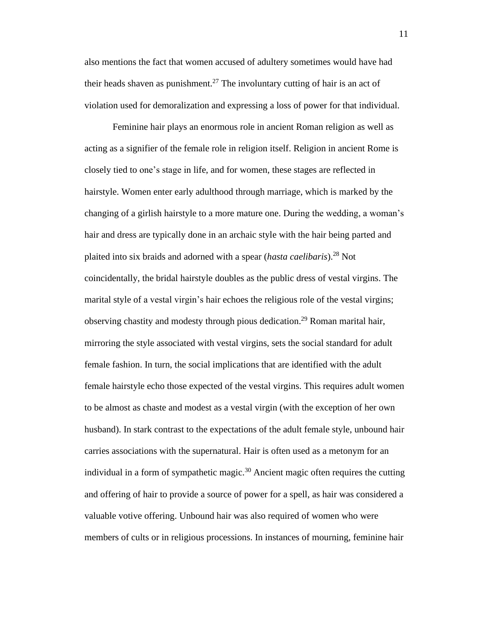also mentions the fact that women accused of adultery sometimes would have had their heads shaven as punishment.<sup>27</sup> The involuntary cutting of hair is an act of violation used for demoralization and expressing a loss of power for that individual.

Feminine hair plays an enormous role in ancient Roman religion as well as acting as a signifier of the female role in religion itself. Religion in ancient Rome is closely tied to one's stage in life, and for women, these stages are reflected in hairstyle. Women enter early adulthood through marriage, which is marked by the changing of a girlish hairstyle to a more mature one. During the wedding, a woman's hair and dress are typically done in an archaic style with the hair being parted and plaited into six braids and adorned with a spear (*hasta caelibaris*).<sup>28</sup> Not coincidentally, the bridal hairstyle doubles as the public dress of vestal virgins. The marital style of a vestal virgin's hair echoes the religious role of the vestal virgins; observing chastity and modesty through pious dedication.<sup>29</sup> Roman marital hair, mirroring the style associated with vestal virgins, sets the social standard for adult female fashion. In turn, the social implications that are identified with the adult female hairstyle echo those expected of the vestal virgins. This requires adult women to be almost as chaste and modest as a vestal virgin (with the exception of her own husband). In stark contrast to the expectations of the adult female style, unbound hair carries associations with the supernatural. Hair is often used as a metonym for an individual in a form of sympathetic magic. <sup>30</sup> Ancient magic often requires the cutting and offering of hair to provide a source of power for a spell, as hair was considered a valuable votive offering. Unbound hair was also required of women who were members of cults or in religious processions. In instances of mourning, feminine hair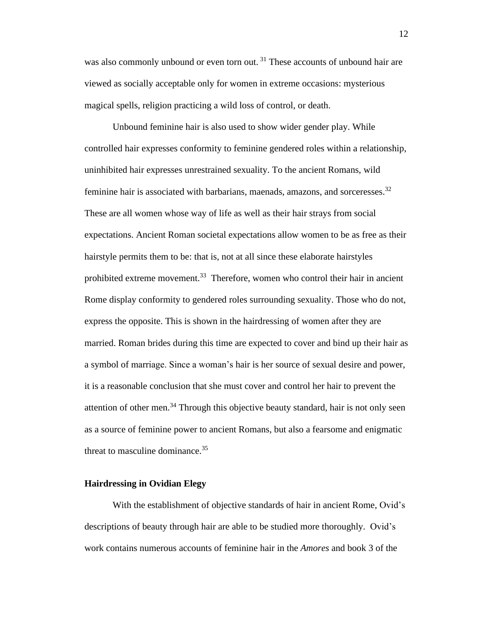was also commonly unbound or even torn out.<sup>31</sup> These accounts of unbound hair are viewed as socially acceptable only for women in extreme occasions: mysterious magical spells, religion practicing a wild loss of control, or death.

Unbound feminine hair is also used to show wider gender play. While controlled hair expresses conformity to feminine gendered roles within a relationship, uninhibited hair expresses unrestrained sexuality. To the ancient Romans, wild feminine hair is associated with barbarians, maenads, amazons, and sorceresses.<sup>32</sup> These are all women whose way of life as well as their hair strays from social expectations. Ancient Roman societal expectations allow women to be as free as their hairstyle permits them to be: that is, not at all since these elaborate hairstyles prohibited extreme movement.<sup>33</sup> Therefore, women who control their hair in ancient Rome display conformity to gendered roles surrounding sexuality. Those who do not, express the opposite. This is shown in the hairdressing of women after they are married. Roman brides during this time are expected to cover and bind up their hair as a symbol of marriage. Since a woman's hair is her source of sexual desire and power, it is a reasonable conclusion that she must cover and control her hair to prevent the attention of other men.<sup>34</sup> Through this objective beauty standard, hair is not only seen as a source of feminine power to ancient Romans, but also a fearsome and enigmatic threat to masculine dominance.<sup>35</sup>

#### **Hairdressing in Ovidian Elegy**

With the establishment of objective standards of hair in ancient Rome, Ovid's descriptions of beauty through hair are able to be studied more thoroughly. Ovid's work contains numerous accounts of feminine hair in the *Amores* and book 3 of the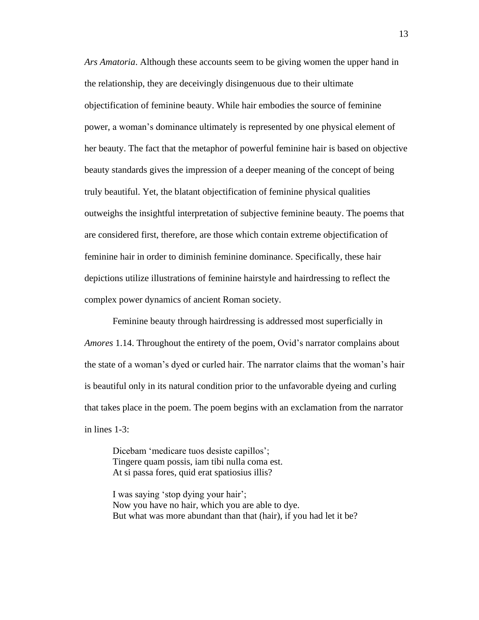*Ars Amatoria*. Although these accounts seem to be giving women the upper hand in the relationship, they are deceivingly disingenuous due to their ultimate objectification of feminine beauty. While hair embodies the source of feminine power, a woman's dominance ultimately is represented by one physical element of her beauty. The fact that the metaphor of powerful feminine hair is based on objective beauty standards gives the impression of a deeper meaning of the concept of being truly beautiful. Yet, the blatant objectification of feminine physical qualities outweighs the insightful interpretation of subjective feminine beauty. The poems that are considered first, therefore, are those which contain extreme objectification of feminine hair in order to diminish feminine dominance. Specifically, these hair depictions utilize illustrations of feminine hairstyle and hairdressing to reflect the complex power dynamics of ancient Roman society.

Feminine beauty through hairdressing is addressed most superficially in *Amores* 1.14. Throughout the entirety of the poem, Ovid's narrator complains about the state of a woman's dyed or curled hair. The narrator claims that the woman's hair is beautiful only in its natural condition prior to the unfavorable dyeing and curling that takes place in the poem. The poem begins with an exclamation from the narrator in lines 1-3:

Dicebam 'medicare tuos desiste capillos'; Tingere quam possis, iam tibi nulla coma est. At si passa fores, quid erat spatiosius illis?

I was saying 'stop dying your hair'; Now you have no hair, which you are able to dye. But what was more abundant than that (hair), if you had let it be? 13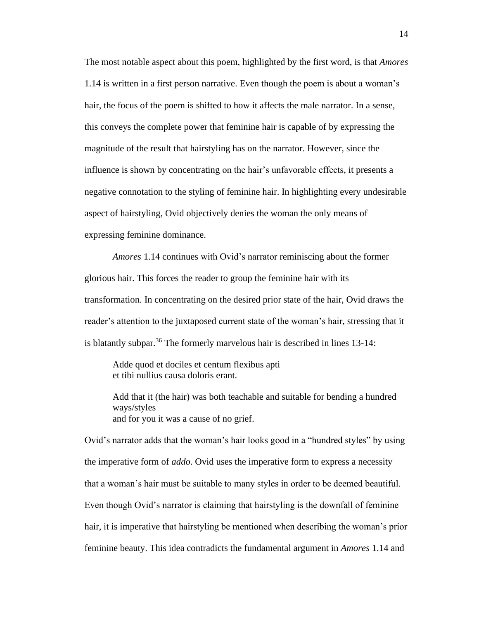The most notable aspect about this poem, highlighted by the first word, is that *Amores* 1.14 is written in a first person narrative. Even though the poem is about a woman's hair, the focus of the poem is shifted to how it affects the male narrator. In a sense, this conveys the complete power that feminine hair is capable of by expressing the magnitude of the result that hairstyling has on the narrator. However, since the influence is shown by concentrating on the hair's unfavorable effects, it presents a negative connotation to the styling of feminine hair. In highlighting every undesirable aspect of hairstyling, Ovid objectively denies the woman the only means of expressing feminine dominance.

*Amores* 1.14 continues with Ovid's narrator reminiscing about the former glorious hair. This forces the reader to group the feminine hair with its transformation. In concentrating on the desired prior state of the hair, Ovid draws the reader's attention to the juxtaposed current state of the woman's hair, stressing that it is blatantly subpar.<sup>36</sup> The formerly marvelous hair is described in lines  $13-14$ :

Adde quod et dociles et centum flexibus apti et tibi nullius causa doloris erant.

Add that it (the hair) was both teachable and suitable for bending a hundred ways/styles and for you it was a cause of no grief.

Ovid's narrator adds that the woman's hair looks good in a "hundred styles" by using the imperative form of *addo*. Ovid uses the imperative form to express a necessity that a woman's hair must be suitable to many styles in order to be deemed beautiful. Even though Ovid's narrator is claiming that hairstyling is the downfall of feminine hair, it is imperative that hairstyling be mentioned when describing the woman's prior feminine beauty. This idea contradicts the fundamental argument in *Amores* 1.14 and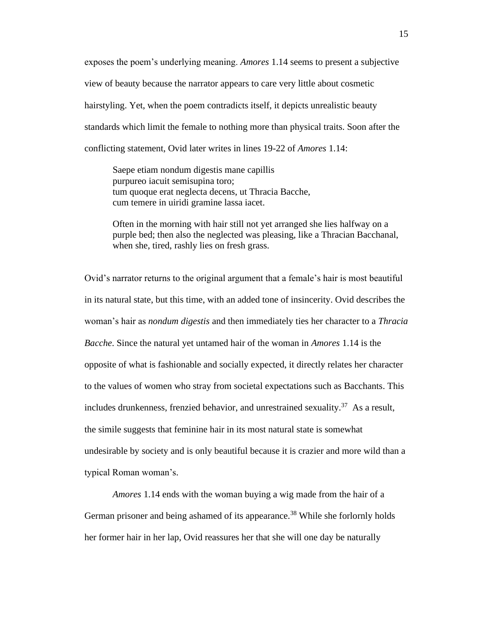exposes the poem's underlying meaning. *Amores* 1.14 seems to present a subjective view of beauty because the narrator appears to care very little about cosmetic hairstyling. Yet, when the poem contradicts itself, it depicts unrealistic beauty standards which limit the female to nothing more than physical traits. Soon after the conflicting statement, Ovid later writes in lines 19-22 of *Amores* 1.14:

Saepe etiam nondum digestis mane capillis purpureo iacuit semisupina toro; tum quoque erat neglecta decens, ut Thracia Bacche, cum temere in uiridi gramine lassa iacet.

Often in the morning with hair still not yet arranged she lies halfway on a purple bed; then also the neglected was pleasing, like a Thracian Bacchanal, when she, tired, rashly lies on fresh grass.

Ovid's narrator returns to the original argument that a female's hair is most beautiful in its natural state, but this time, with an added tone of insincerity. Ovid describes the woman's hair as *nondum digestis* and then immediately ties her character to a *Thracia Bacche*. Since the natural yet untamed hair of the woman in *Amores* 1.14 is the opposite of what is fashionable and socially expected, it directly relates her character to the values of women who stray from societal expectations such as Bacchants. This includes drunkenness, frenzied behavior, and unrestrained sexuality.<sup>37</sup> As a result, the simile suggests that feminine hair in its most natural state is somewhat undesirable by society and is only beautiful because it is crazier and more wild than a typical Roman woman's.

*Amores* 1.14 ends with the woman buying a wig made from the hair of a German prisoner and being ashamed of its appearance.<sup>38</sup> While she forlornly holds her former hair in her lap, Ovid reassures her that she will one day be naturally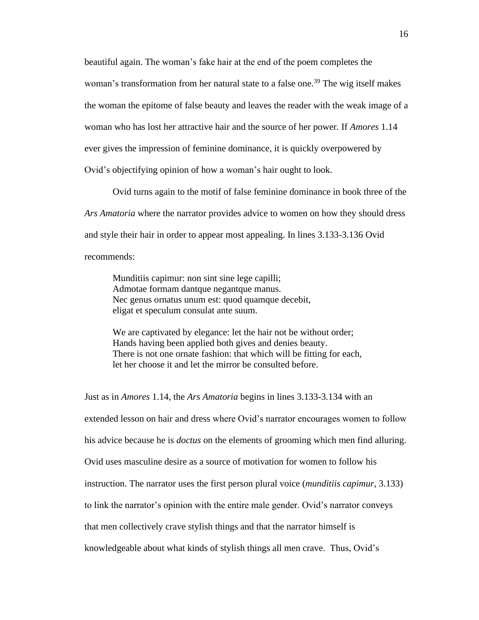beautiful again. The woman's fake hair at the end of the poem completes the woman's transformation from her natural state to a false one.<sup>39</sup> The wig itself makes the woman the epitome of false beauty and leaves the reader with the weak image of a woman who has lost her attractive hair and the source of her power. If *Amores* 1.14 ever gives the impression of feminine dominance, it is quickly overpowered by Ovid's objectifying opinion of how a woman's hair ought to look.

Ovid turns again to the motif of false feminine dominance in book three of the *Ars Amatoria* where the narrator provides advice to women on how they should dress and style their hair in order to appear most appealing. In lines 3.133-3.136 Ovid recommends:

Munditiis capimur: non sint sine lege capilli; Admotae formam dantque negantque manus. Nec genus ornatus unum est: quod quamque decebit, eligat et speculum consulat ante suum.

We are captivated by elegance: let the hair not be without order; Hands having been applied both gives and denies beauty. There is not one ornate fashion: that which will be fitting for each, let her choose it and let the mirror be consulted before.

Just as in *Amores* 1.14, the *Ars Amatoria* begins in lines 3.133-3.134 with an extended lesson on hair and dress where Ovid's narrator encourages women to follow his advice because he is *doctus* on the elements of grooming which men find alluring. Ovid uses masculine desire as a source of motivation for women to follow his instruction. The narrator uses the first person plural voice (*munditiis capimur*, 3.133) to link the narrator's opinion with the entire male gender. Ovid's narrator conveys that men collectively crave stylish things and that the narrator himself is knowledgeable about what kinds of stylish things all men crave. Thus, Ovid's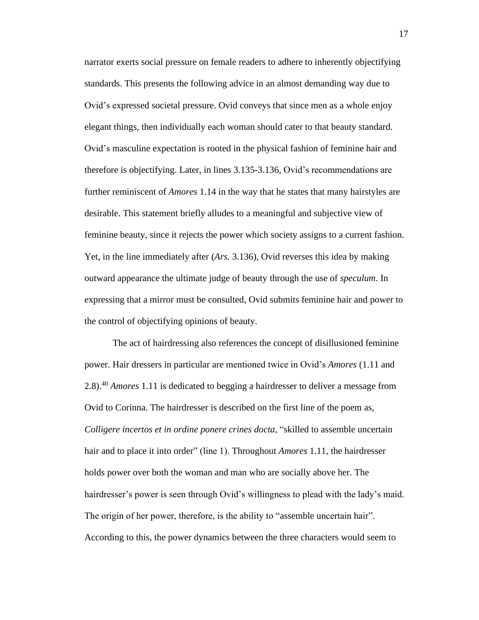narrator exerts social pressure on female readers to adhere to inherently objectifying standards. This presents the following advice in an almost demanding way due to Ovid's expressed societal pressure. Ovid conveys that since men as a whole enjoy elegant things, then individually each woman should cater to that beauty standard. Ovid's masculine expectation is rooted in the physical fashion of feminine hair and therefore is objectifying. Later, in lines 3.135-3.136, Ovid's recommendations are further reminiscent of *Amores* 1.14 in the way that he states that many hairstyles are desirable. This statement briefly alludes to a meaningful and subjective view of feminine beauty, since it rejects the power which society assigns to a current fashion. Yet, in the line immediately after (*Ars.* 3.136), Ovid reverses this idea by making outward appearance the ultimate judge of beauty through the use of *speculum*. In expressing that a mirror must be consulted, Ovid submits feminine hair and power to the control of objectifying opinions of beauty.

The act of hairdressing also references the concept of disillusioned feminine power. Hair dressers in particular are mentioned twice in Ovid's *Amores* (1.11 and 2.8).<sup>40</sup> *Amores* 1.11 is dedicated to begging a hairdresser to deliver a message from Ovid to Corinna. The hairdresser is described on the first line of the poem as, *Colligere incertos et in ordine ponere crines docta*, "skilled to assemble uncertain hair and to place it into order" (line 1). Throughout *Amores* 1.11, the hairdresser holds power over both the woman and man who are socially above her. The hairdresser's power is seen through Ovid's willingness to plead with the lady's maid. The origin of her power, therefore, is the ability to "assemble uncertain hair". According to this, the power dynamics between the three characters would seem to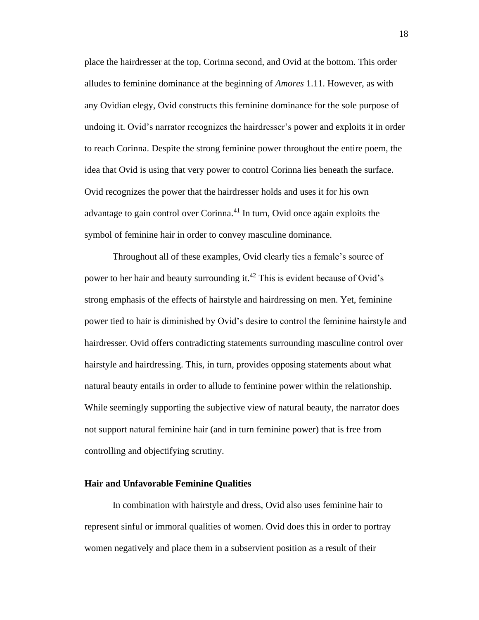place the hairdresser at the top, Corinna second, and Ovid at the bottom. This order alludes to feminine dominance at the beginning of *Amores* 1.11. However, as with any Ovidian elegy, Ovid constructs this feminine dominance for the sole purpose of undoing it. Ovid's narrator recognizes the hairdresser's power and exploits it in order to reach Corinna. Despite the strong feminine power throughout the entire poem, the idea that Ovid is using that very power to control Corinna lies beneath the surface. Ovid recognizes the power that the hairdresser holds and uses it for his own advantage to gain control over Corinna.<sup>41</sup> In turn, Ovid once again exploits the symbol of feminine hair in order to convey masculine dominance.

Throughout all of these examples, Ovid clearly ties a female's source of power to her hair and beauty surrounding it.<sup>42</sup> This is evident because of Ovid's strong emphasis of the effects of hairstyle and hairdressing on men. Yet, feminine power tied to hair is diminished by Ovid's desire to control the feminine hairstyle and hairdresser. Ovid offers contradicting statements surrounding masculine control over hairstyle and hairdressing. This, in turn, provides opposing statements about what natural beauty entails in order to allude to feminine power within the relationship. While seemingly supporting the subjective view of natural beauty, the narrator does not support natural feminine hair (and in turn feminine power) that is free from controlling and objectifying scrutiny.

#### **Hair and Unfavorable Feminine Qualities**

In combination with hairstyle and dress, Ovid also uses feminine hair to represent sinful or immoral qualities of women. Ovid does this in order to portray women negatively and place them in a subservient position as a result of their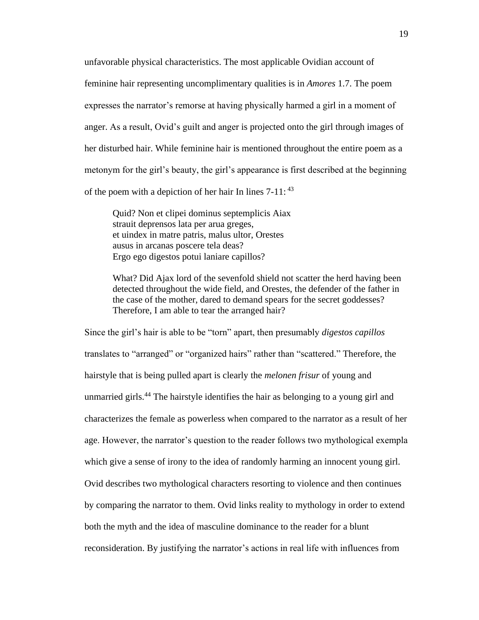unfavorable physical characteristics. The most applicable Ovidian account of feminine hair representing uncomplimentary qualities is in *Amores* 1.7. The poem expresses the narrator's remorse at having physically harmed a girl in a moment of anger. As a result, Ovid's guilt and anger is projected onto the girl through images of her disturbed hair. While feminine hair is mentioned throughout the entire poem as a metonym for the girl's beauty, the girl's appearance is first described at the beginning of the poem with a depiction of her hair In lines 7-11: <sup>43</sup>

Quid? Non et clipei dominus septemplicis Aiax strauit deprensos lata per arua greges, et uindex in matre patris, malus ultor, Orestes ausus in arcanas poscere tela deas? Ergo ego digestos potui laniare capillos?

What? Did Ajax lord of the sevenfold shield not scatter the herd having been detected throughout the wide field, and Orestes, the defender of the father in the case of the mother, dared to demand spears for the secret goddesses? Therefore, I am able to tear the arranged hair?

Since the girl's hair is able to be "torn" apart, then presumably *digestos capillos* translates to "arranged" or "organized hairs" rather than "scattered." Therefore, the hairstyle that is being pulled apart is clearly the *melonen frisur* of young and unmarried girls.<sup>44</sup> The hairstyle identifies the hair as belonging to a young girl and characterizes the female as powerless when compared to the narrator as a result of her age. However, the narrator's question to the reader follows two mythological exempla which give a sense of irony to the idea of randomly harming an innocent young girl. Ovid describes two mythological characters resorting to violence and then continues by comparing the narrator to them. Ovid links reality to mythology in order to extend both the myth and the idea of masculine dominance to the reader for a blunt reconsideration. By justifying the narrator's actions in real life with influences from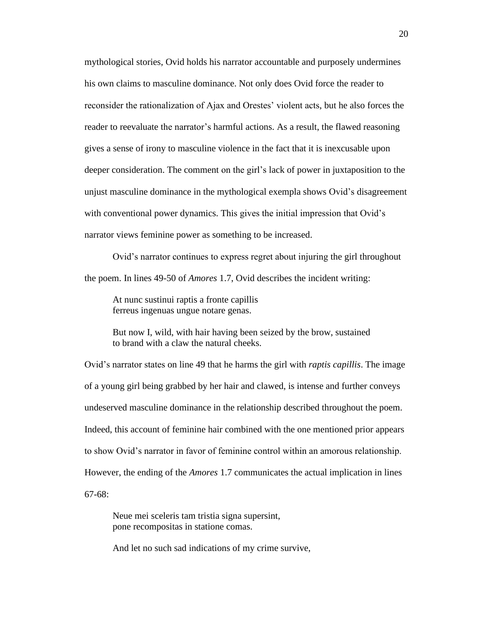mythological stories, Ovid holds his narrator accountable and purposely undermines his own claims to masculine dominance. Not only does Ovid force the reader to reconsider the rationalization of Ajax and Orestes' violent acts, but he also forces the reader to reevaluate the narrator's harmful actions. As a result, the flawed reasoning gives a sense of irony to masculine violence in the fact that it is inexcusable upon deeper consideration. The comment on the girl's lack of power in juxtaposition to the unjust masculine dominance in the mythological exempla shows Ovid's disagreement with conventional power dynamics. This gives the initial impression that Ovid's narrator views feminine power as something to be increased.

Ovid's narrator continues to express regret about injuring the girl throughout the poem. In lines 49-50 of *Amores* 1.7, Ovid describes the incident writing:

At nunc sustinui raptis a fronte capillis ferreus ingenuas ungue notare genas.

But now I, wild, with hair having been seized by the brow, sustained to brand with a claw the natural cheeks.

Ovid's narrator states on line 49 that he harms the girl with *raptis capillis*. The image of a young girl being grabbed by her hair and clawed, is intense and further conveys undeserved masculine dominance in the relationship described throughout the poem. Indeed, this account of feminine hair combined with the one mentioned prior appears to show Ovid's narrator in favor of feminine control within an amorous relationship. However, the ending of the *Amores* 1.7 communicates the actual implication in lines 67-68:

Neue mei sceleris tam tristia signa supersint, pone recompositas in statione comas.

And let no such sad indications of my crime survive,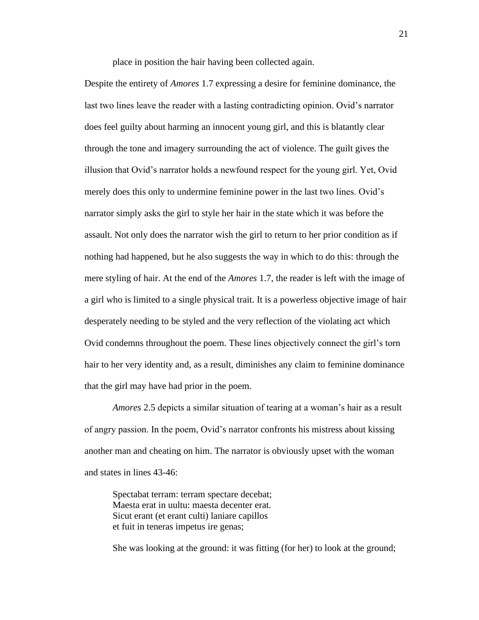place in position the hair having been collected again.

Despite the entirety of *Amores* 1.7 expressing a desire for feminine dominance, the last two lines leave the reader with a lasting contradicting opinion. Ovid's narrator does feel guilty about harming an innocent young girl, and this is blatantly clear through the tone and imagery surrounding the act of violence. The guilt gives the illusion that Ovid's narrator holds a newfound respect for the young girl. Yet, Ovid merely does this only to undermine feminine power in the last two lines. Ovid's narrator simply asks the girl to style her hair in the state which it was before the assault. Not only does the narrator wish the girl to return to her prior condition as if nothing had happened, but he also suggests the way in which to do this: through the mere styling of hair. At the end of the *Amores* 1.7, the reader is left with the image of a girl who is limited to a single physical trait. It is a powerless objective image of hair desperately needing to be styled and the very reflection of the violating act which Ovid condemns throughout the poem. These lines objectively connect the girl's torn hair to her very identity and, as a result, diminishes any claim to feminine dominance that the girl may have had prior in the poem.

*Amores* 2.5 depicts a similar situation of tearing at a woman's hair as a result of angry passion. In the poem, Ovid's narrator confronts his mistress about kissing another man and cheating on him. The narrator is obviously upset with the woman and states in lines 43-46:

Spectabat terram: terram spectare decebat; Maesta erat in uultu: maesta decenter erat. Sicut erant (et erant culti) laniare capillos et fuit in teneras impetus ire genas;

She was looking at the ground: it was fitting (for her) to look at the ground;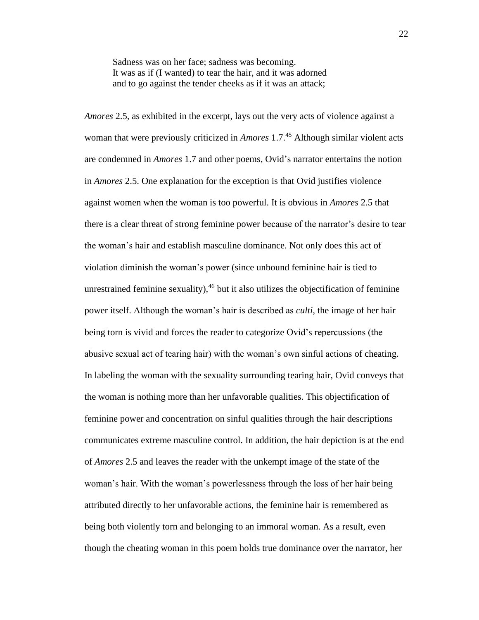Sadness was on her face; sadness was becoming. It was as if (I wanted) to tear the hair, and it was adorned and to go against the tender cheeks as if it was an attack;

*Amores* 2.5, as exhibited in the excerpt, lays out the very acts of violence against a woman that were previously criticized in *Amores* 1.7.<sup>45</sup> Although similar violent acts are condemned in *Amores* 1.7 and other poems, Ovid's narrator entertains the notion in *Amores* 2.5. One explanation for the exception is that Ovid justifies violence against women when the woman is too powerful. It is obvious in *Amores* 2.5 that there is a clear threat of strong feminine power because of the narrator's desire to tear the woman's hair and establish masculine dominance. Not only does this act of violation diminish the woman's power (since unbound feminine hair is tied to unrestrained feminine sexuality),  $46$  but it also utilizes the objectification of feminine power itself. Although the woman's hair is described as *culti*, the image of her hair being torn is vivid and forces the reader to categorize Ovid's repercussions (the abusive sexual act of tearing hair) with the woman's own sinful actions of cheating. In labeling the woman with the sexuality surrounding tearing hair, Ovid conveys that the woman is nothing more than her unfavorable qualities. This objectification of feminine power and concentration on sinful qualities through the hair descriptions communicates extreme masculine control. In addition, the hair depiction is at the end of *Amores* 2.5 and leaves the reader with the unkempt image of the state of the woman's hair. With the woman's powerlessness through the loss of her hair being attributed directly to her unfavorable actions, the feminine hair is remembered as being both violently torn and belonging to an immoral woman. As a result, even though the cheating woman in this poem holds true dominance over the narrator, her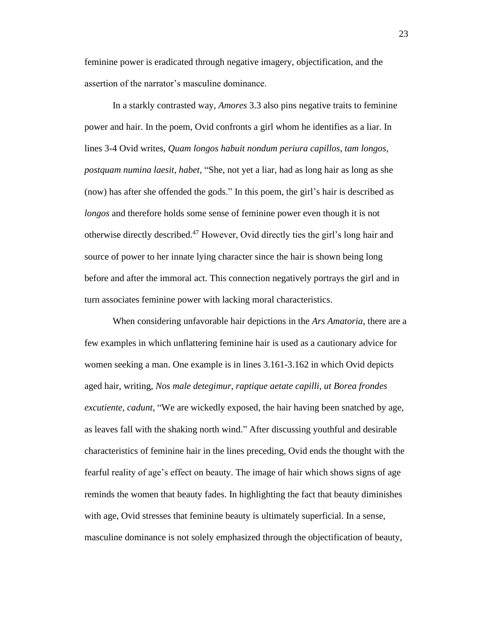feminine power is eradicated through negative imagery, objectification, and the assertion of the narrator's masculine dominance.

In a starkly contrasted way, *Amores* 3.3 also pins negative traits to feminine power and hair. In the poem, Ovid confronts a girl whom he identifies as a liar. In lines 3-4 Ovid writes, *Quam longos habuit nondum periura capillos, tam longos, postquam numina laesit, habet*, "She, not yet a liar, had as long hair as long as she (now) has after she offended the gods." In this poem, the girl's hair is described as *longos* and therefore holds some sense of feminine power even though it is not otherwise directly described.<sup>47</sup> However, Ovid directly ties the girl's long hair and source of power to her innate lying character since the hair is shown being long before and after the immoral act. This connection negatively portrays the girl and in turn associates feminine power with lacking moral characteristics.

When considering unfavorable hair depictions in the *Ars Amatoria*, there are a few examples in which unflattering feminine hair is used as a cautionary advice for women seeking a man. One example is in lines 3.161-3.162 in which Ovid depicts aged hair, writing, *Nos male detegimur, raptique aetate capilli, ut Borea frondes excutiente, cadunt,* "We are wickedly exposed, the hair having been snatched by age, as leaves fall with the shaking north wind." After discussing youthful and desirable characteristics of feminine hair in the lines preceding, Ovid ends the thought with the fearful reality of age's effect on beauty. The image of hair which shows signs of age reminds the women that beauty fades. In highlighting the fact that beauty diminishes with age, Ovid stresses that feminine beauty is ultimately superficial. In a sense, masculine dominance is not solely emphasized through the objectification of beauty,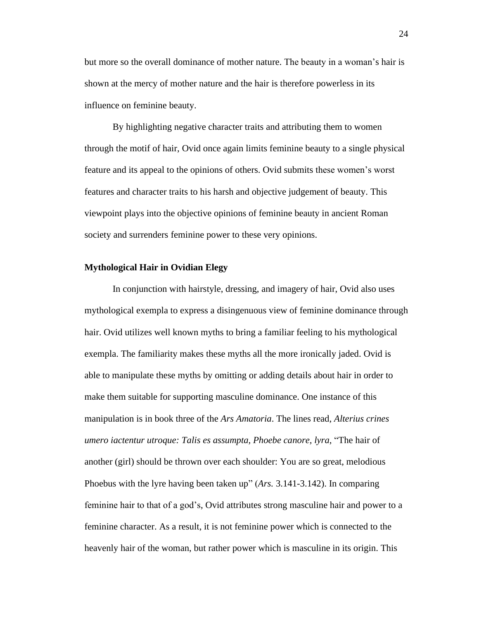but more so the overall dominance of mother nature. The beauty in a woman's hair is shown at the mercy of mother nature and the hair is therefore powerless in its influence on feminine beauty.

By highlighting negative character traits and attributing them to women through the motif of hair, Ovid once again limits feminine beauty to a single physical feature and its appeal to the opinions of others. Ovid submits these women's worst features and character traits to his harsh and objective judgement of beauty. This viewpoint plays into the objective opinions of feminine beauty in ancient Roman society and surrenders feminine power to these very opinions.

#### **Mythological Hair in Ovidian Elegy**

In conjunction with hairstyle, dressing, and imagery of hair, Ovid also uses mythological exempla to express a disingenuous view of feminine dominance through hair. Ovid utilizes well known myths to bring a familiar feeling to his mythological exempla. The familiarity makes these myths all the more ironically jaded. Ovid is able to manipulate these myths by omitting or adding details about hair in order to make them suitable for supporting masculine dominance. One instance of this manipulation is in book three of the *Ars Amatoria*. The lines read, *Alterius crines umero iactentur utroque: Talis es assumpta, Phoebe canore, lyra*, "The hair of another (girl) should be thrown over each shoulder: You are so great, melodious Phoebus with the lyre having been taken up" (*Ars.* 3.141-3.142). In comparing feminine hair to that of a god's, Ovid attributes strong masculine hair and power to a feminine character. As a result, it is not feminine power which is connected to the heavenly hair of the woman, but rather power which is masculine in its origin. This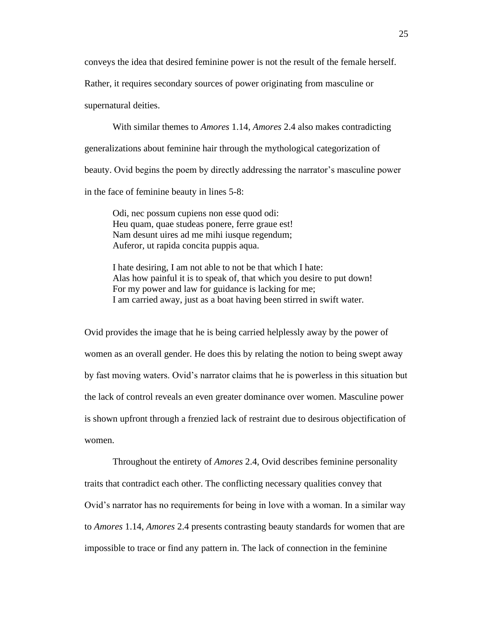conveys the idea that desired feminine power is not the result of the female herself.

Rather, it requires secondary sources of power originating from masculine or

supernatural deities.

With similar themes to *Amores* 1.14, *Amores* 2.4 also makes contradicting generalizations about feminine hair through the mythological categorization of beauty. Ovid begins the poem by directly addressing the narrator's masculine power in the face of feminine beauty in lines 5-8:

Odi, nec possum cupiens non esse quod odi: Heu quam, quae studeas ponere, ferre graue est! Nam desunt uires ad me mihi iusque regendum; Auferor, ut rapida concita puppis aqua.

I hate desiring, I am not able to not be that which I hate: Alas how painful it is to speak of, that which you desire to put down! For my power and law for guidance is lacking for me; I am carried away, just as a boat having been stirred in swift water.

Ovid provides the image that he is being carried helplessly away by the power of women as an overall gender. He does this by relating the notion to being swept away by fast moving waters. Ovid's narrator claims that he is powerless in this situation but the lack of control reveals an even greater dominance over women. Masculine power is shown upfront through a frenzied lack of restraint due to desirous objectification of women.

Throughout the entirety of *Amores* 2.4, Ovid describes feminine personality traits that contradict each other. The conflicting necessary qualities convey that Ovid's narrator has no requirements for being in love with a woman. In a similar way to *Amores* 1.14, *Amores* 2.4 presents contrasting beauty standards for women that are impossible to trace or find any pattern in. The lack of connection in the feminine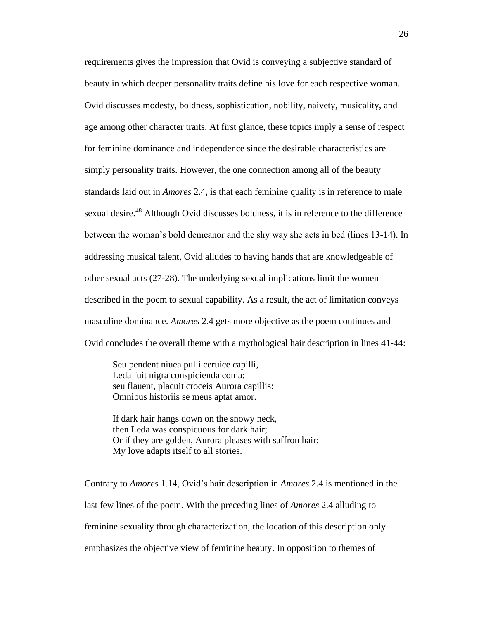requirements gives the impression that Ovid is conveying a subjective standard of beauty in which deeper personality traits define his love for each respective woman. Ovid discusses modesty, boldness, sophistication, nobility, naivety, musicality, and age among other character traits. At first glance, these topics imply a sense of respect for feminine dominance and independence since the desirable characteristics are simply personality traits. However, the one connection among all of the beauty standards laid out in *Amores* 2.4, is that each feminine quality is in reference to male sexual desire.<sup>48</sup> Although Ovid discusses boldness, it is in reference to the difference between the woman's bold demeanor and the shy way she acts in bed (lines 13-14). In addressing musical talent, Ovid alludes to having hands that are knowledgeable of other sexual acts (27-28). The underlying sexual implications limit the women described in the poem to sexual capability. As a result, the act of limitation conveys masculine dominance. *Amores* 2.4 gets more objective as the poem continues and Ovid concludes the overall theme with a mythological hair description in lines 41-44:

Seu pendent niuea pulli ceruice capilli, Leda fuit nigra conspicienda coma; seu flauent, placuit croceis Aurora capillis: Omnibus historiis se meus aptat amor.

If dark hair hangs down on the snowy neck, then Leda was conspicuous for dark hair; Or if they are golden, Aurora pleases with saffron hair: My love adapts itself to all stories.

Contrary to *Amores* 1.14, Ovid's hair description in *Amores* 2.4 is mentioned in the last few lines of the poem. With the preceding lines of *Amores* 2.4 alluding to feminine sexuality through characterization, the location of this description only emphasizes the objective view of feminine beauty. In opposition to themes of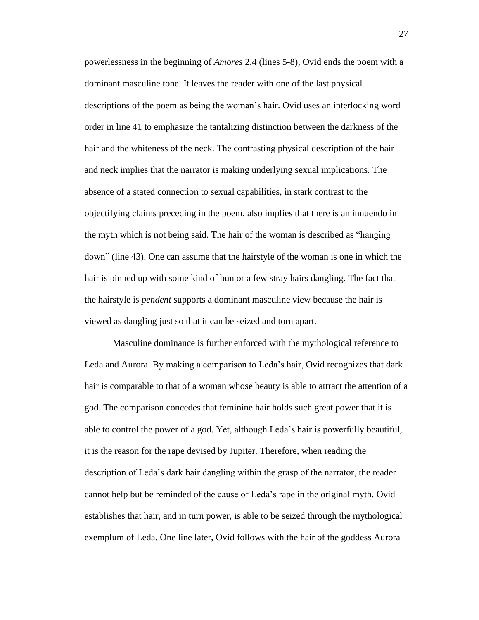powerlessness in the beginning of *Amores* 2.4 (lines 5-8), Ovid ends the poem with a dominant masculine tone. It leaves the reader with one of the last physical descriptions of the poem as being the woman's hair. Ovid uses an interlocking word order in line 41 to emphasize the tantalizing distinction between the darkness of the hair and the whiteness of the neck. The contrasting physical description of the hair and neck implies that the narrator is making underlying sexual implications. The absence of a stated connection to sexual capabilities, in stark contrast to the objectifying claims preceding in the poem, also implies that there is an innuendo in the myth which is not being said. The hair of the woman is described as "hanging down" (line 43). One can assume that the hairstyle of the woman is one in which the hair is pinned up with some kind of bun or a few stray hairs dangling. The fact that the hairstyle is *pendent* supports a dominant masculine view because the hair is viewed as dangling just so that it can be seized and torn apart.

Masculine dominance is further enforced with the mythological reference to Leda and Aurora. By making a comparison to Leda's hair, Ovid recognizes that dark hair is comparable to that of a woman whose beauty is able to attract the attention of a god. The comparison concedes that feminine hair holds such great power that it is able to control the power of a god. Yet, although Leda's hair is powerfully beautiful, it is the reason for the rape devised by Jupiter. Therefore, when reading the description of Leda's dark hair dangling within the grasp of the narrator, the reader cannot help but be reminded of the cause of Leda's rape in the original myth. Ovid establishes that hair, and in turn power, is able to be seized through the mythological exemplum of Leda. One line later, Ovid follows with the hair of the goddess Aurora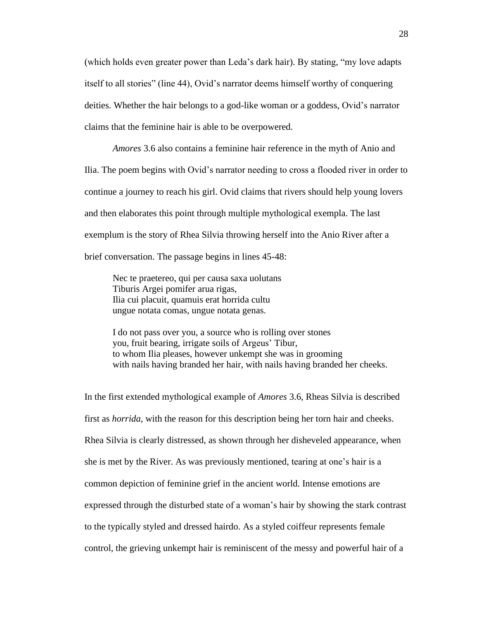(which holds even greater power than Leda's dark hair). By stating, "my love adapts itself to all stories" (line 44), Ovid's narrator deems himself worthy of conquering deities. Whether the hair belongs to a god-like woman or a goddess, Ovid's narrator claims that the feminine hair is able to be overpowered.

*Amores* 3.6 also contains a feminine hair reference in the myth of Anio and Ilia. The poem begins with Ovid's narrator needing to cross a flooded river in order to continue a journey to reach his girl. Ovid claims that rivers should help young lovers and then elaborates this point through multiple mythological exempla. The last exemplum is the story of Rhea Silvia throwing herself into the Anio River after a brief conversation. The passage begins in lines 45-48:

Nec te praetereo, qui per causa saxa uolutans Tiburis Argei pomifer arua rigas, Ilia cui placuit, quamuis erat horrida cultu ungue notata comas, ungue notata genas.

I do not pass over you, a source who is rolling over stones you, fruit bearing, irrigate soils of Argeus' Tibur, to whom Ilia pleases, however unkempt she was in grooming with nails having branded her hair, with nails having branded her cheeks.

In the first extended mythological example of *Amores* 3.6, Rheas Silvia is described first as *horrida*, with the reason for this description being her torn hair and cheeks. Rhea Silvia is clearly distressed, as shown through her disheveled appearance, when she is met by the River. As was previously mentioned, tearing at one's hair is a common depiction of feminine grief in the ancient world. Intense emotions are expressed through the disturbed state of a woman's hair by showing the stark contrast to the typically styled and dressed hairdo. As a styled coiffeur represents female control, the grieving unkempt hair is reminiscent of the messy and powerful hair of a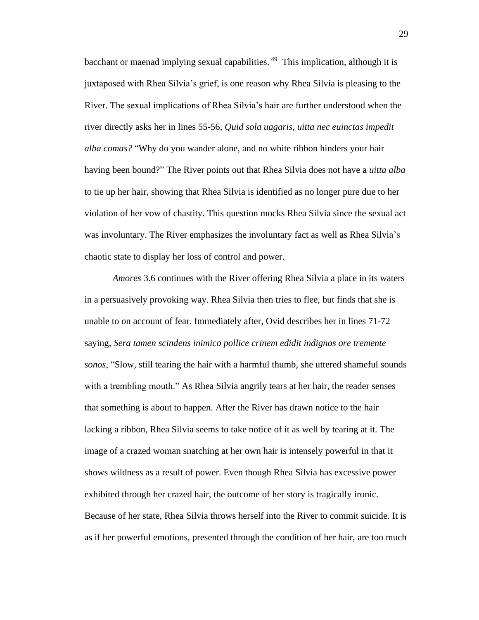bacchant or maenad implying sexual capabilities.<sup>49</sup> This implication, although it is juxtaposed with Rhea Silvia's grief, is one reason why Rhea Silvia is pleasing to the River. The sexual implications of Rhea Silvia's hair are further understood when the river directly asks her in lines 55-56, *Quid sola uagaris, uitta nec euinctas impedit alba comas?* "Why do you wander alone, and no white ribbon hinders your hair having been bound?" The River points out that Rhea Silvia does not have a *uitta alba* to tie up her hair, showing that Rhea Silvia is identified as no longer pure due to her violation of her vow of chastity. This question mocks Rhea Silvia since the sexual act was involuntary. The River emphasizes the involuntary fact as well as Rhea Silvia's chaotic state to display her loss of control and power.

*Amores* 3.6 continues with the River offering Rhea Silvia a place in its waters in a persuasively provoking way. Rhea Silvia then tries to flee, but finds that she is unable to on account of fear. Immediately after, Ovid describes her in lines 71-72 saying, *Sera tamen scindens inimico pollice crinem edidit indignos ore tremente sonos*, "Slow, still tearing the hair with a harmful thumb, she uttered shameful sounds with a trembling mouth." As Rhea Silvia angrily tears at her hair, the reader senses that something is about to happen. After the River has drawn notice to the hair lacking a ribbon, Rhea Silvia seems to take notice of it as well by tearing at it. The image of a crazed woman snatching at her own hair is intensely powerful in that it shows wildness as a result of power. Even though Rhea Silvia has excessive power exhibited through her crazed hair, the outcome of her story is tragically ironic. Because of her state, Rhea Silvia throws herself into the River to commit suicide. It is as if her powerful emotions, presented through the condition of her hair, are too much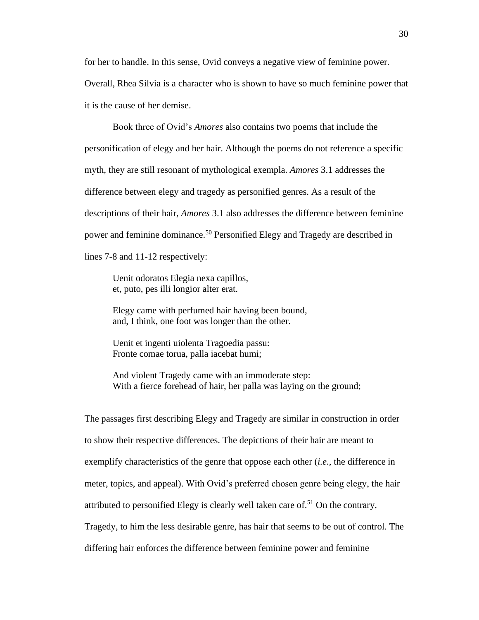for her to handle. In this sense, Ovid conveys a negative view of feminine power. Overall, Rhea Silvia is a character who is shown to have so much feminine power that it is the cause of her demise.

Book three of Ovid's *Amores* also contains two poems that include the personification of elegy and her hair. Although the poems do not reference a specific myth, they are still resonant of mythological exempla. *Amores* 3.1 addresses the difference between elegy and tragedy as personified genres. As a result of the descriptions of their hair, *Amores* 3.1 also addresses the difference between feminine power and feminine dominance.<sup>50</sup> Personified Elegy and Tragedy are described in lines 7-8 and 11-12 respectively:

Uenit odoratos Elegia nexa capillos, et, puto, pes illi longior alter erat.

Elegy came with perfumed hair having been bound, and, I think, one foot was longer than the other.

Uenit et ingenti uiolenta Tragoedia passu: Fronte comae torua, palla iacebat humi;

And violent Tragedy came with an immoderate step: With a fierce forehead of hair, her palla was laying on the ground;

The passages first describing Elegy and Tragedy are similar in construction in order to show their respective differences. The depictions of their hair are meant to exemplify characteristics of the genre that oppose each other (*i.e.*, the difference in meter, topics, and appeal). With Ovid's preferred chosen genre being elegy, the hair attributed to personified Elegy is clearly well taken care of.<sup>51</sup> On the contrary, Tragedy, to him the less desirable genre, has hair that seems to be out of control. The differing hair enforces the difference between feminine power and feminine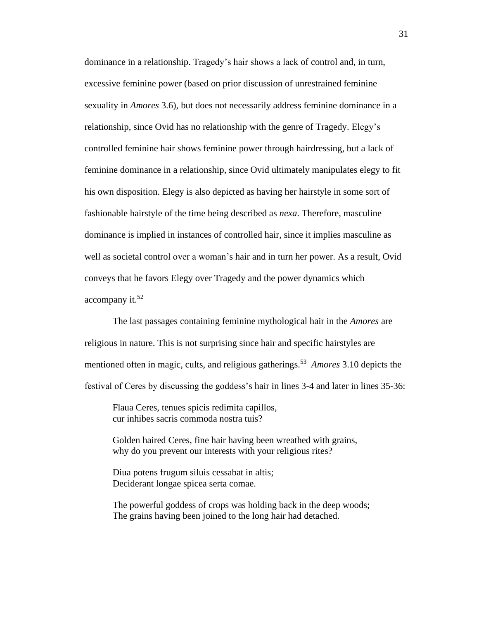dominance in a relationship. Tragedy's hair shows a lack of control and, in turn, excessive feminine power (based on prior discussion of unrestrained feminine sexuality in *Amores* 3.6), but does not necessarily address feminine dominance in a relationship, since Ovid has no relationship with the genre of Tragedy. Elegy's controlled feminine hair shows feminine power through hairdressing, but a lack of feminine dominance in a relationship, since Ovid ultimately manipulates elegy to fit his own disposition. Elegy is also depicted as having her hairstyle in some sort of fashionable hairstyle of the time being described as *nexa*. Therefore, masculine dominance is implied in instances of controlled hair, since it implies masculine as well as societal control over a woman's hair and in turn her power. As a result, Ovid conveys that he favors Elegy over Tragedy and the power dynamics which accompany it. 52

The last passages containing feminine mythological hair in the *Amores* are religious in nature. This is not surprising since hair and specific hairstyles are mentioned often in magic, cults, and religious gatherings.<sup>53</sup> *Amores* 3.10 depicts the festival of Ceres by discussing the goddess's hair in lines 3-4 and later in lines 35-36:

Flaua Ceres, tenues spicis redimita capillos, cur inhibes sacris commoda nostra tuis?

Golden haired Ceres, fine hair having been wreathed with grains, why do you prevent our interests with your religious rites?

Diua potens frugum siluis cessabat in altis; Deciderant longae spicea serta comae.

The powerful goddess of crops was holding back in the deep woods; The grains having been joined to the long hair had detached.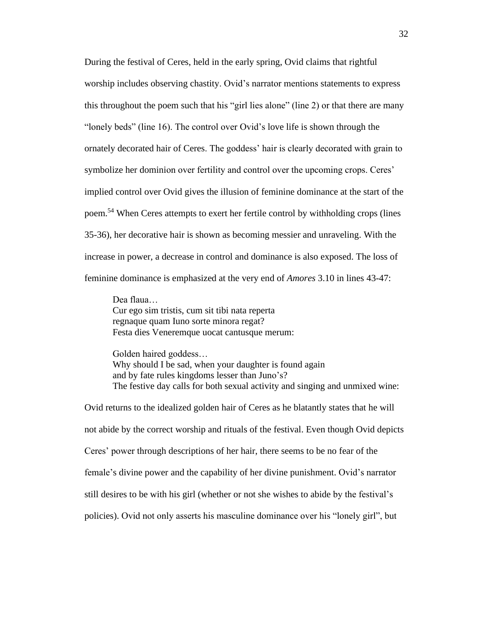During the festival of Ceres, held in the early spring, Ovid claims that rightful worship includes observing chastity. Ovid's narrator mentions statements to express this throughout the poem such that his "girl lies alone" (line 2) or that there are many "lonely beds" (line 16). The control over Ovid's love life is shown through the ornately decorated hair of Ceres. The goddess' hair is clearly decorated with grain to symbolize her dominion over fertility and control over the upcoming crops. Ceres' implied control over Ovid gives the illusion of feminine dominance at the start of the poem.<sup>54</sup> When Ceres attempts to exert her fertile control by withholding crops (lines 35-36), her decorative hair is shown as becoming messier and unraveling. With the increase in power, a decrease in control and dominance is also exposed. The loss of feminine dominance is emphasized at the very end of *Amores* 3.10 in lines 43-47:

Dea flaua… Cur ego sim tristis, cum sit tibi nata reperta regnaque quam Iuno sorte minora regat? Festa dies Veneremque uocat cantusque merum:

Golden haired goddess… Why should I be sad, when your daughter is found again and by fate rules kingdoms lesser than Juno's? The festive day calls for both sexual activity and singing and unmixed wine:

Ovid returns to the idealized golden hair of Ceres as he blatantly states that he will not abide by the correct worship and rituals of the festival. Even though Ovid depicts Ceres' power through descriptions of her hair, there seems to be no fear of the female's divine power and the capability of her divine punishment. Ovid's narrator still desires to be with his girl (whether or not she wishes to abide by the festival's policies). Ovid not only asserts his masculine dominance over his "lonely girl", but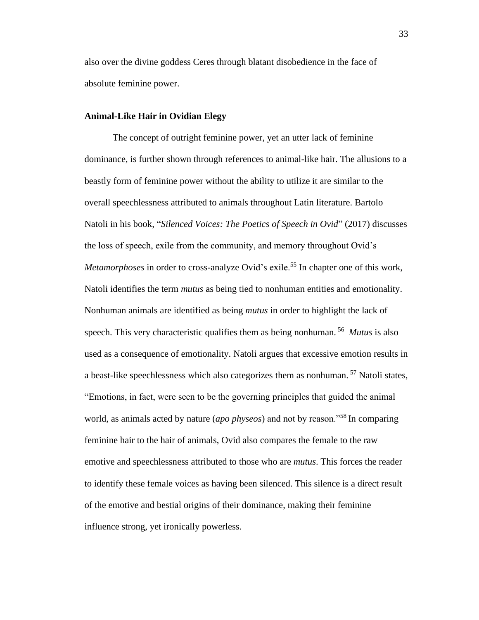also over the divine goddess Ceres through blatant disobedience in the face of absolute feminine power.

#### **Animal-Like Hair in Ovidian Elegy**

The concept of outright feminine power, yet an utter lack of feminine dominance, is further shown through references to animal-like hair. The allusions to a beastly form of feminine power without the ability to utilize it are similar to the overall speechlessness attributed to animals throughout Latin literature. Bartolo Natoli in his book, "*Silenced Voices: The Poetics of Speech in Ovid*" (2017) discusses the loss of speech, exile from the community, and memory throughout Ovid's *Metamorphoses* in order to cross-analyze Ovid's exile.<sup>55</sup> In chapter one of this work, Natoli identifies the term *mutus* as being tied to nonhuman entities and emotionality. Nonhuman animals are identified as being *mutus* in order to highlight the lack of speech. This very characteristic qualifies them as being nonhuman. <sup>56</sup> *Mutus* is also used as a consequence of emotionality. Natoli argues that excessive emotion results in a beast-like speechlessness which also categorizes them as nonhuman.<sup>57</sup> Natoli states, "Emotions, in fact, were seen to be the governing principles that guided the animal world, as animals acted by nature (*apo physeos*) and not by reason."<sup>58</sup> In comparing feminine hair to the hair of animals, Ovid also compares the female to the raw emotive and speechlessness attributed to those who are *mutus*. This forces the reader to identify these female voices as having been silenced. This silence is a direct result of the emotive and bestial origins of their dominance, making their feminine influence strong, yet ironically powerless.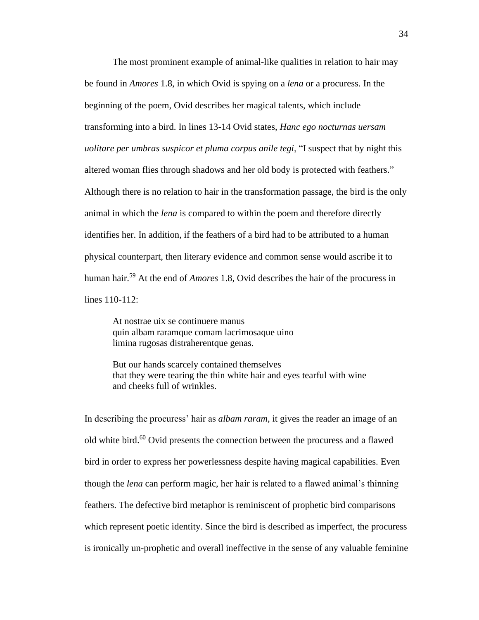The most prominent example of animal-like qualities in relation to hair may be found in *Amores* 1.8, in which Ovid is spying on a *lena* or a procuress. In the beginning of the poem, Ovid describes her magical talents, which include transforming into a bird. In lines 13-14 Ovid states, *Hanc ego nocturnas uersam uolitare per umbras suspicor et pluma corpus anile tegi*, "I suspect that by night this altered woman flies through shadows and her old body is protected with feathers." Although there is no relation to hair in the transformation passage, the bird is the only animal in which the *lena* is compared to within the poem and therefore directly identifies her. In addition, if the feathers of a bird had to be attributed to a human physical counterpart, then literary evidence and common sense would ascribe it to human hair.<sup>59</sup> At the end of *Amores* 1.8, Ovid describes the hair of the procuress in lines 110-112:

At nostrae uix se continuere manus quin albam raramque comam lacrimosaque uino limina rugosas distraherentque genas.

But our hands scarcely contained themselves that they were tearing the thin white hair and eyes tearful with wine and cheeks full of wrinkles.

In describing the procuress' hair as *albam raram*, it gives the reader an image of an old white bird.<sup>60</sup> Ovid presents the connection between the procuress and a flawed bird in order to express her powerlessness despite having magical capabilities. Even though the *lena* can perform magic, her hair is related to a flawed animal's thinning feathers. The defective bird metaphor is reminiscent of prophetic bird comparisons which represent poetic identity. Since the bird is described as imperfect, the procuress is ironically un-prophetic and overall ineffective in the sense of any valuable feminine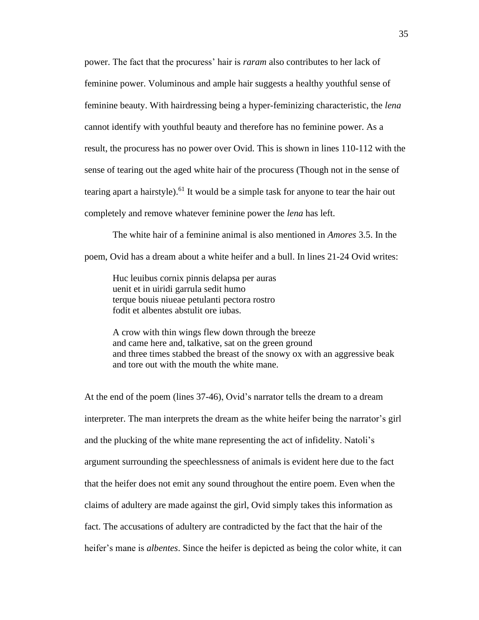power. The fact that the procuress' hair is *raram* also contributes to her lack of feminine power. Voluminous and ample hair suggests a healthy youthful sense of feminine beauty. With hairdressing being a hyper-feminizing characteristic, the *lena* cannot identify with youthful beauty and therefore has no feminine power. As a result, the procuress has no power over Ovid. This is shown in lines 110-112 with the sense of tearing out the aged white hair of the procuress (Though not in the sense of tearing apart a hairstyle).<sup>61</sup> It would be a simple task for anyone to tear the hair out completely and remove whatever feminine power the *lena* has left.

The white hair of a feminine animal is also mentioned in *Amores* 3.5. In the poem, Ovid has a dream about a white heifer and a bull. In lines 21-24 Ovid writes:

Huc leuibus cornix pinnis delapsa per auras uenit et in uiridi garrula sedit humo terque bouis niueae petulanti pectora rostro fodit et albentes abstulit ore iubas.

A crow with thin wings flew down through the breeze and came here and, talkative, sat on the green ground and three times stabbed the breast of the snowy ox with an aggressive beak and tore out with the mouth the white mane.

At the end of the poem (lines 37-46), Ovid's narrator tells the dream to a dream interpreter. The man interprets the dream as the white heifer being the narrator's girl and the plucking of the white mane representing the act of infidelity. Natoli's argument surrounding the speechlessness of animals is evident here due to the fact that the heifer does not emit any sound throughout the entire poem. Even when the claims of adultery are made against the girl, Ovid simply takes this information as fact. The accusations of adultery are contradicted by the fact that the hair of the heifer's mane is *albentes*. Since the heifer is depicted as being the color white, it can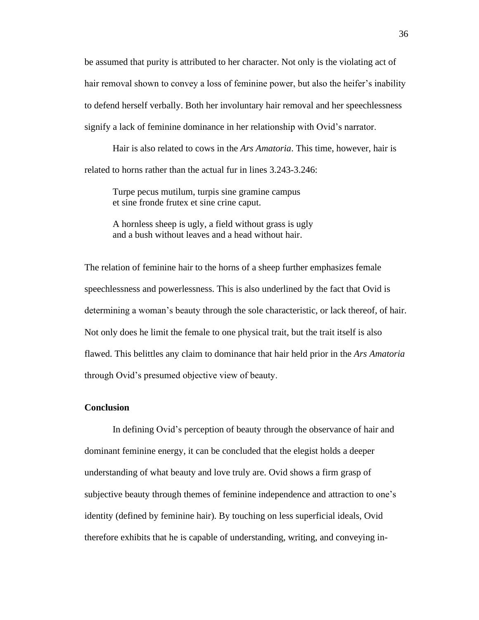be assumed that purity is attributed to her character. Not only is the violating act of hair removal shown to convey a loss of feminine power, but also the heifer's inability to defend herself verbally. Both her involuntary hair removal and her speechlessness signify a lack of feminine dominance in her relationship with Ovid's narrator.

Hair is also related to cows in the *Ars Amatoria*. This time, however, hair is related to horns rather than the actual fur in lines 3.243-3.246:

Turpe pecus mutilum, turpis sine gramine campus et sine fronde frutex et sine crine caput.

A hornless sheep is ugly, a field without grass is ugly and a bush without leaves and a head without hair.

The relation of feminine hair to the horns of a sheep further emphasizes female speechlessness and powerlessness. This is also underlined by the fact that Ovid is determining a woman's beauty through the sole characteristic, or lack thereof, of hair. Not only does he limit the female to one physical trait, but the trait itself is also flawed. This belittles any claim to dominance that hair held prior in the *Ars Amatoria* through Ovid's presumed objective view of beauty.

#### **Conclusion**

In defining Ovid's perception of beauty through the observance of hair and dominant feminine energy, it can be concluded that the elegist holds a deeper understanding of what beauty and love truly are. Ovid shows a firm grasp of subjective beauty through themes of feminine independence and attraction to one's identity (defined by feminine hair). By touching on less superficial ideals, Ovid therefore exhibits that he is capable of understanding, writing, and conveying in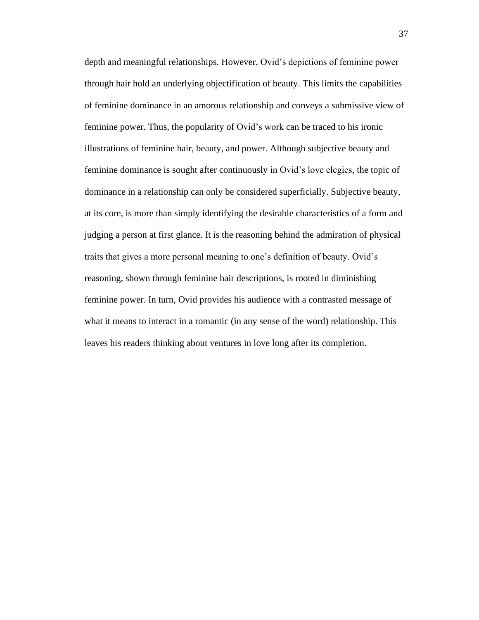depth and meaningful relationships. However, Ovid's depictions of feminine power through hair hold an underlying objectification of beauty. This limits the capabilities of feminine dominance in an amorous relationship and conveys a submissive view of feminine power. Thus, the popularity of Ovid's work can be traced to his ironic illustrations of feminine hair, beauty, and power. Although subjective beauty and feminine dominance is sought after continuously in Ovid's love elegies, the topic of dominance in a relationship can only be considered superficially. Subjective beauty, at its core, is more than simply identifying the desirable characteristics of a form and judging a person at first glance. It is the reasoning behind the admiration of physical traits that gives a more personal meaning to one's definition of beauty. Ovid's reasoning, shown through feminine hair descriptions, is rooted in diminishing feminine power. In turn, Ovid provides his audience with a contrasted message of what it means to interact in a romantic (in any sense of the word) relationship. This leaves his readers thinking about ventures in love long after its completion.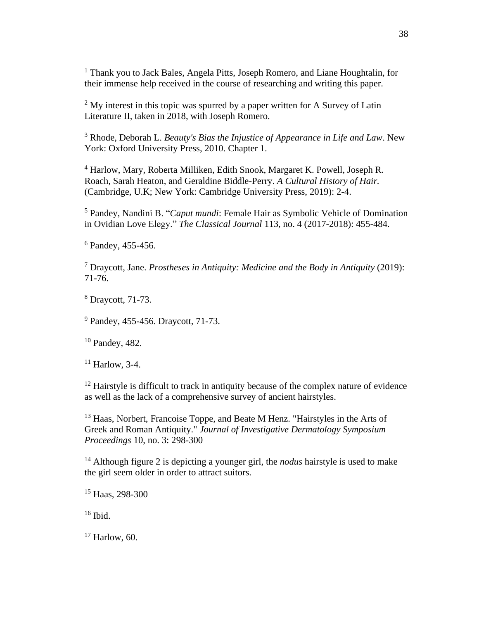<sup>1</sup> Thank you to Jack Bales, Angela Pitts, Joseph Romero, and Liane Houghtalin, for their immense help received in the course of researching and writing this paper.

 $2$  My interest in this topic was spurred by a paper written for A Survey of Latin Literature II, taken in 2018, with Joseph Romero.

<sup>3</sup> Rhode, Deborah L. *Beauty's Bias the Injustice of Appearance in Life and Law*. New York: Oxford University Press, 2010. Chapter 1.

<sup>4</sup> Harlow, Mary, Roberta Milliken, Edith Snook, Margaret K. Powell, Joseph R. Roach, Sarah Heaton, and Geraldine Biddle-Perry. *A Cultural History of Hair.* (Cambridge, U.K; New York: Cambridge University Press, 2019): 2-4.

<sup>5</sup> Pandey, Nandini B. "*Caput mundi*: Female Hair as Symbolic Vehicle of Domination in Ovidian Love Elegy." *The Classical Journal* 113, no. 4 (2017-2018): 455-484.

 $6$  Pandey, 455-456.

<sup>7</sup> Draycott, Jane. *Prostheses in Antiquity: Medicine and the Body in Antiquity* (2019): 71-76.

<sup>8</sup> Draycott, 71-73.

<sup>9</sup> Pandey, 455-456. Draycott, 71-73.

<sup>10</sup> Pandey, 482.

 $11$  Harlow, 3-4.

<sup>12</sup> Hairstyle is difficult to track in antiquity because of the complex nature of evidence as well as the lack of a comprehensive survey of ancient hairstyles.

<sup>13</sup> Haas, Norbert, Francoise Toppe, and Beate M Henz. "Hairstyles in the Arts of Greek and Roman Antiquity." *Journal of Investigative Dermatology Symposium Proceedings* 10, no. 3: 298-300

<sup>14</sup> Although figure 2 is depicting a younger girl, the *nodus* hairstyle is used to make the girl seem older in order to attract suitors.

<sup>15</sup> Haas, 298-300

 $16$  Ibid.

 $17$  Harlow, 60.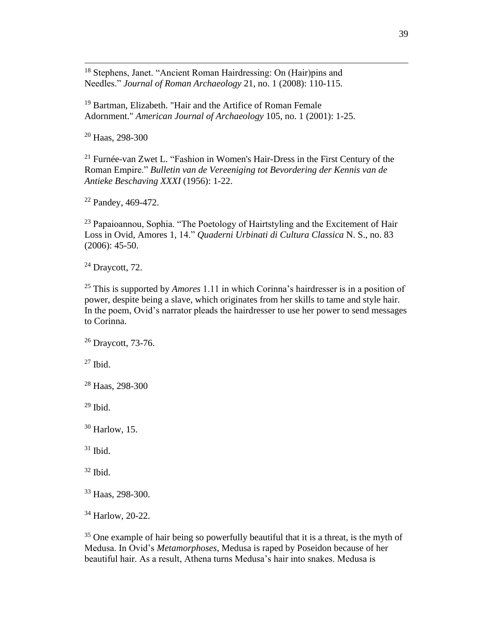<sup>18</sup> Stephens, Janet. "Ancient Roman Hairdressing: On (Hair)pins and Needles." *Journal of Roman Archaeology* 21, no. 1 (2008): 110-115.

<sup>19</sup> Bartman, Elizabeth. "Hair and the Artifice of Roman Female Adornment." *American Journal of Archaeology* 105, no. 1 (2001): 1-25.

<sup>20</sup> Haas, 298-300

<sup>21</sup> Furnée-van Zwet L. "Fashion in Women's Hair-Dress in the First Century of the Roman Empire." *Bulletin van de Vereeniging tot Bevordering der Kennis van de Antieke Beschaving XXXI* (1956): 1-22.

<sup>22</sup> Pandey, 469-472.

 $23$  Papaioannou, Sophia. "The Poetology of Hairtstyling and the Excitement of Hair Loss in Ovid, Amores 1, 14." *Quaderni Urbinati di Cultura Classica* N. S., no. 83 (2006): 45-50.

 $24$  Draycott, 72.

<sup>25</sup> This is supported by *Amores* 1.11 in which Corinna's hairdresser is in a position of power, despite being a slave, which originates from her skills to tame and style hair. In the poem, Ovid's narrator pleads the hairdresser to use her power to send messages to Corinna.

<sup>26</sup> Draycott, 73-76.

 $27$  Ibid.

<sup>28</sup> Haas, 298-300

 $29$  Ibid.

<sup>30</sup> Harlow, 15.

 $31$  Ibid.

 $32$  Ibid.

<sup>33</sup> Haas, 298-300.

<sup>34</sup> Harlow, 20-22.

<sup>35</sup> One example of hair being so powerfully beautiful that it is a threat, is the myth of Medusa. In Ovid's *Metamorphoses*, Medusa is raped by Poseidon because of her beautiful hair. As a result, Athena turns Medusa's hair into snakes. Medusa is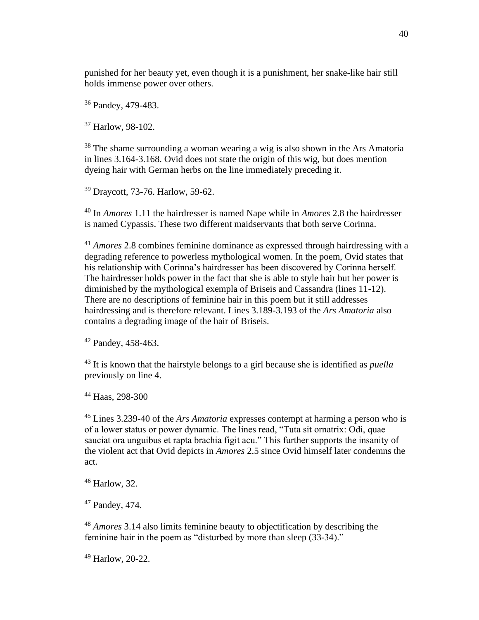punished for her beauty yet, even though it is a punishment, her snake-like hair still holds immense power over others.

<sup>36</sup> Pandey, 479-483.

<sup>37</sup> Harlow, 98-102.

<sup>38</sup> The shame surrounding a woman wearing a wig is also shown in the Ars Amatoria in lines 3.164-3.168. Ovid does not state the origin of this wig, but does mention dyeing hair with German herbs on the line immediately preceding it.

<sup>39</sup> Draycott, 73-76. Harlow, 59-62.

<sup>40</sup> In *Amores* 1.11 the hairdresser is named Nape while in *Amores* 2.8 the hairdresser is named Cypassis. These two different maidservants that both serve Corinna.

<sup>41</sup> *Amores* 2.8 combines feminine dominance as expressed through hairdressing with a degrading reference to powerless mythological women. In the poem, Ovid states that his relationship with Corinna's hairdresser has been discovered by Corinna herself. The hairdresser holds power in the fact that she is able to style hair but her power is diminished by the mythological exempla of Briseis and Cassandra (lines 11-12). There are no descriptions of feminine hair in this poem but it still addresses hairdressing and is therefore relevant. Lines 3.189-3.193 of the *Ars Amatoria* also contains a degrading image of the hair of Briseis.

<sup>42</sup> Pandey, 458-463.

<sup>43</sup> It is known that the hairstyle belongs to a girl because she is identified as *puella* previously on line 4.

<sup>44</sup> Haas, 298-300

<sup>45</sup> Lines 3.239-40 of the *Ars Amatoria* expresses contempt at harming a person who is of a lower status or power dynamic. The lines read, "Tuta sit ornatrix: Odi, quae sauciat ora unguibus et rapta brachia figit acu." This further supports the insanity of the violent act that Ovid depicts in *Amores* 2.5 since Ovid himself later condemns the act.

<sup>46</sup> Harlow, 32.

<sup>47</sup> Pandey, 474.

<sup>48</sup> *Amores* 3.14 also limits feminine beauty to objectification by describing the feminine hair in the poem as "disturbed by more than sleep (33-34)."

<sup>49</sup> Harlow, 20-22.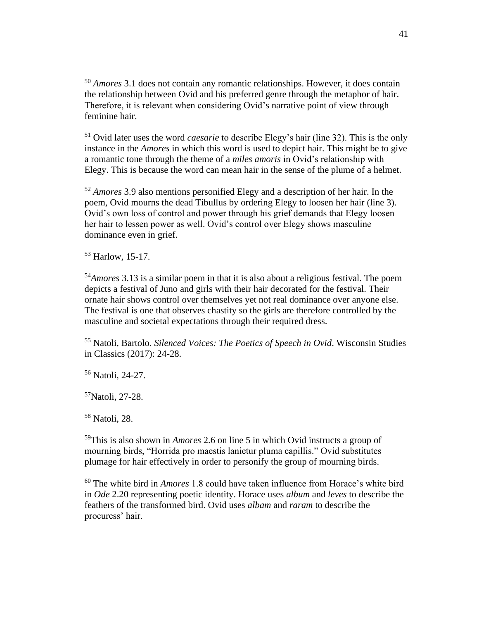<sup>50</sup> *Amores* 3.1 does not contain any romantic relationships. However, it does contain the relationship between Ovid and his preferred genre through the metaphor of hair. Therefore, it is relevant when considering Ovid's narrative point of view through feminine hair.

<sup>51</sup> Ovid later uses the word *caesarie* to describe Elegy's hair (line 32). This is the only instance in the *Amores* in which this word is used to depict hair. This might be to give a romantic tone through the theme of a *miles amoris* in Ovid's relationship with Elegy. This is because the word can mean hair in the sense of the plume of a helmet.

<sup>52</sup> *Amores* 3.9 also mentions personified Elegy and a description of her hair. In the poem, Ovid mourns the dead Tibullus by ordering Elegy to loosen her hair (line 3). Ovid's own loss of control and power through his grief demands that Elegy loosen her hair to lessen power as well. Ovid's control over Elegy shows masculine dominance even in grief.

<sup>53</sup> Harlow, 15-17.

<sup>54</sup>*Amores* 3.13 is a similar poem in that it is also about a religious festival. The poem depicts a festival of Juno and girls with their hair decorated for the festival. Their ornate hair shows control over themselves yet not real dominance over anyone else. The festival is one that observes chastity so the girls are therefore controlled by the masculine and societal expectations through their required dress.

<sup>55</sup> Natoli, Bartolo. *Silenced Voices: The Poetics of Speech in Ovid*. Wisconsin Studies in Classics (2017): 24-28.

<sup>56</sup> Natoli, 24-27.

<sup>57</sup>Natoli, 27-28.

<sup>58</sup> Natoli, 28.

<sup>59</sup>This is also shown in *Amores* 2.6 on line 5 in which Ovid instructs a group of mourning birds, "Horrida pro maestis lanietur pluma capillis." Ovid substitutes plumage for hair effectively in order to personify the group of mourning birds.

<sup>60</sup> The white bird in *Amores* 1.8 could have taken influence from Horace's white bird in *Ode* 2.20 representing poetic identity. Horace uses *album* and *leves* to describe the feathers of the transformed bird. Ovid uses *albam* and *raram* to describe the procuress' hair.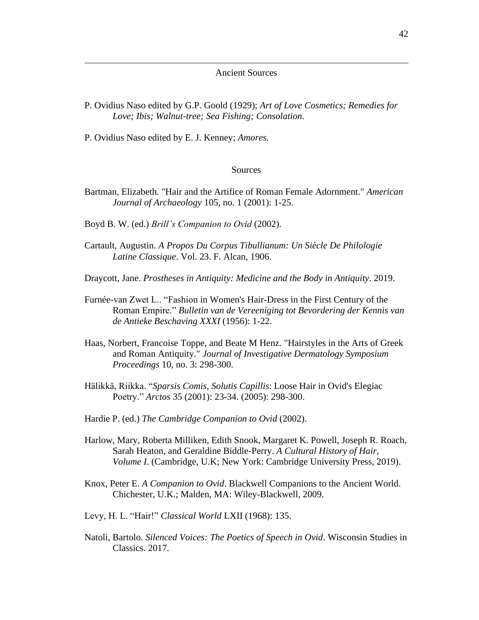#### Ancient Sources

- P. Ovidius Naso edited by G.P. Goold (1929); *Art of Love Cosmetics; Remedies for Love; Ibis; Walnut-tree; Sea Fishing; Consolation*.
- P. Ovidius Naso edited by E. J. Kenney; *Amores.*

#### Sources

- Bartman, Elizabeth. "Hair and the Artifice of Roman Female Adornment." *American Journal of Archaeology* 105, no. 1 (2001): 1-25.
- Boyd B. W. (ed.) *Brill's Companion to Ovid* (2002).
- Cartault, Augustin. *A Propos Du Corpus Tibullianum: Un Siècle De Philologie Latine Classique*. Vol. 23. F. Alcan, 1906.
- Draycott, Jane. *Prostheses in Antiquity: Medicine and the Body in Antiquity*. 2019.
- Furnée-van Zwet L.. "Fashion in Women's Hair-Dress in the First Century of the Roman Empire." *Bulletin van de Vereeniging tot Bevordering der Kennis van de Antieke Beschaving XXXI* (1956): 1-22.
- Haas, Norbert, Francoise Toppe, and Beate M Henz. "Hairstyles in the Arts of Greek and Roman Antiquity." *Journal of Investigative Dermatology Symposium Proceedings* 10, no. 3: 298-300.
- Hälikkä, Riikka. "*Sparsis Comis, Solutis Capillis*: Loose Hair in Ovid's Elegiac Poetry." *Arctos* 35 (2001): 23-34. (2005): 298-300.
- Hardie P. (ed.) *The Cambridge Companion to Ovid* (2002).
- Harlow, Mary, Roberta Milliken, Edith Snook, Margaret K. Powell, Joseph R. Roach, Sarah Heaton, and Geraldine Biddle-Perry. *A Cultural History of Hair, Volume I*. (Cambridge, U.K; New York: Cambridge University Press, 2019).
- Knox, Peter E. *A Companion to Ovid*. Blackwell Companions to the Ancient World. Chichester, U.K.; Malden, MA: Wiley-Blackwell, 2009.
- Levy, H. L. "Hair!" *Classical World* LXII (1968): 135.
- Natoli, Bartolo. *Silenced Voices: The Poetics of Speech in Ovid*. Wisconsin Studies in Classics. 2017.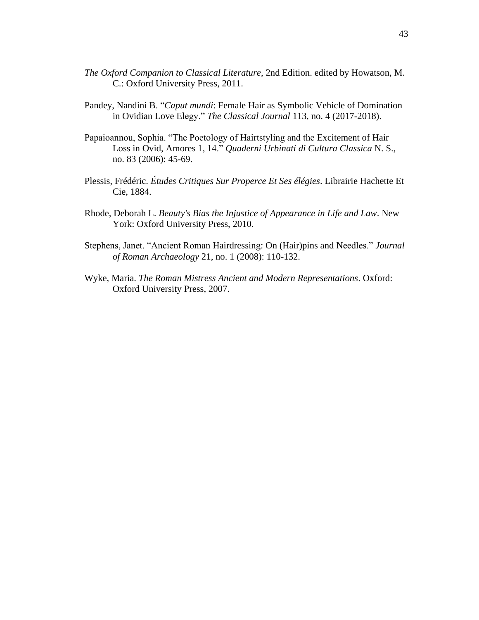- *The Oxford Companion to Classical Literature*, 2nd Edition. edited by Howatson, M. C.: Oxford University Press, 2011.
- Pandey, Nandini B. "*Caput mundi*: Female Hair as Symbolic Vehicle of Domination in Ovidian Love Elegy." *The Classical Journal* 113, no. 4 (2017-2018).
- Papaioannou, Sophia. "The Poetology of Hairtstyling and the Excitement of Hair Loss in Ovid, Amores 1, 14." *Quaderni Urbinati di Cultura Classica* N. S., no. 83 (2006): 45-69.
- Plessis, Frédéric. *Études Critiques Sur Properce Et Ses élégies*. Librairie Hachette Et Cie, 1884.
- Rhode, Deborah L. *Beauty's Bias the Injustice of Appearance in Life and Law*. New York: Oxford University Press, 2010.
- Stephens, Janet. "Ancient Roman Hairdressing: On (Hair)pins and Needles." *Journal of Roman Archaeology* 21, no. 1 (2008): 110-132.
- Wyke, Maria. *The Roman Mistress Ancient and Modern Representations*. Oxford: Oxford University Press, 2007.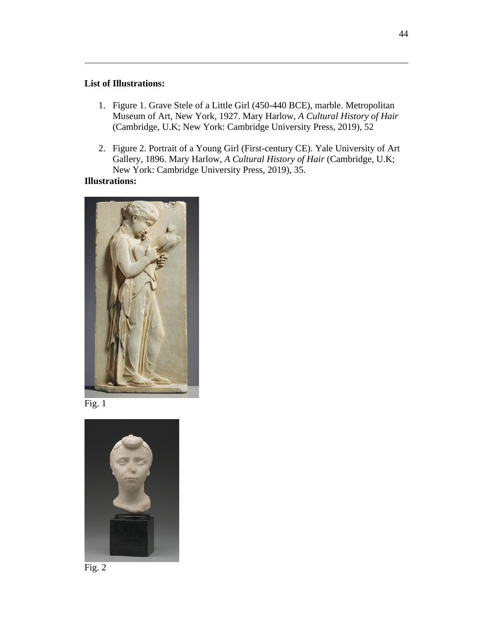#### **List of Illustrations:**

- 1. Figure 1. Grave Stele of a Little Girl (450-440 BCE), marble. Metropolitan Museum of Art, New York, 1927. Mary Harlow, *A Cultural History of Hair*  (Cambridge, U.K; New York: Cambridge University Press, 2019), 52
- 2. Figure 2. Portrait of a Young Girl (First-century CE). Yale University of Art Gallery, 1896. Mary Harlow, *A Cultural History of Hair* (Cambridge, U.K; New York: Cambridge University Press, 2019), 35.

#### **Illustrations:**







Fig. 2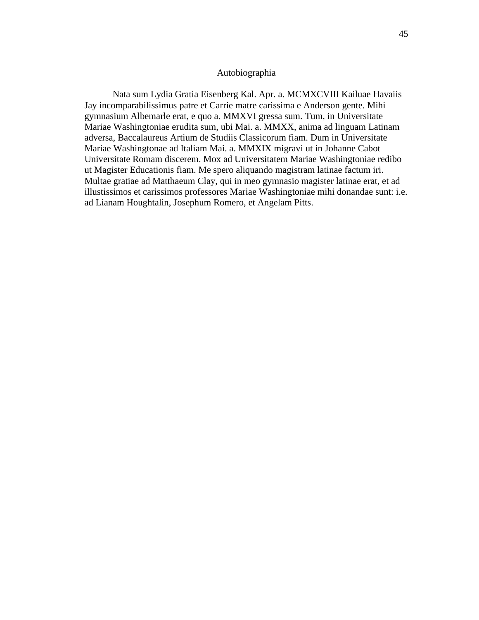#### Autobiographia

Nata sum Lydia Gratia Eisenberg Kal. Apr. a. MCMXCVIII Kailuae Havaiis Jay incomparabilissimus patre et Carrie matre carissima e Anderson gente. Mihi gymnasium Albemarle erat, e quo a. MMXVI gressa sum. Tum, in Universitate Mariae Washingtoniae erudita sum, ubi Mai. a. MMXX, anima ad linguam Latinam adversa, Baccalaureus Artium de Studiis Classicorum fiam. Dum in Universitate Mariae Washingtonae ad Italiam Mai. a. MMXIX migravi ut in Johanne Cabot Universitate Romam discerem. Mox ad Universitatem Mariae Washingtoniae redibo ut Magister Educationis fiam. Me spero aliquando magistram latinae factum iri. Multae gratiae ad Matthaeum Clay, qui in meo gymnasio magister latinae erat, et ad illustissimos et carissimos professores Mariae Washingtoniae mihi donandae sunt: i.e. ad Lianam Houghtalin, Josephum Romero, et Angelam Pitts.